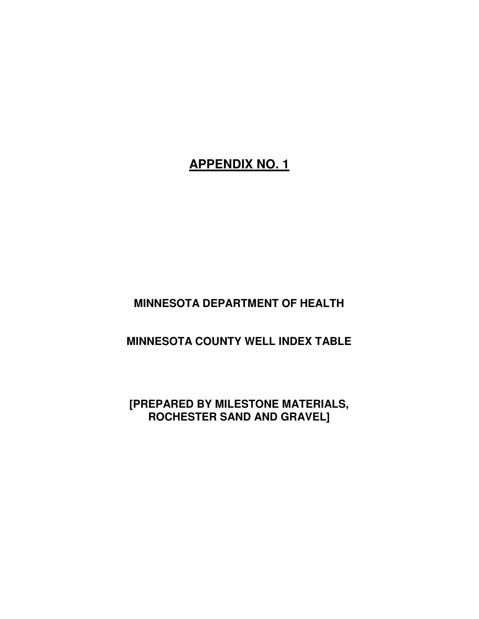## **APPENDIX NO. 1**

## **MINNESOTA DEPARTMENT OF HEALTH**

## **MINNESOTA COUNTY WELL INDEX TABLE**

## **[PREPARED BY MILESTONE MATERIALS, ROCHESTER SAND AND GRAVEL]**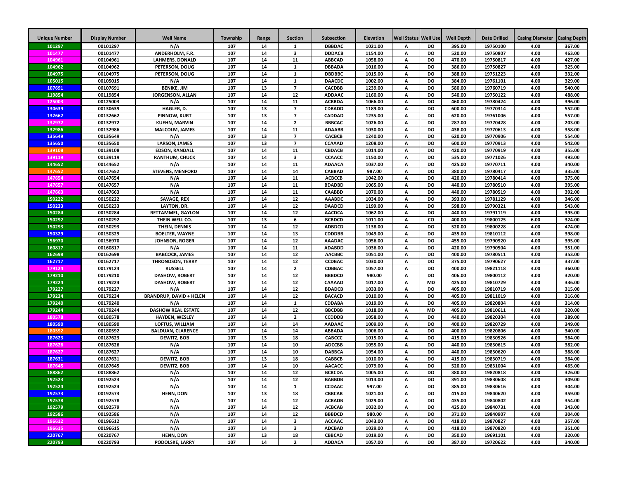| <b>Unique Number</b> | <b>Display Number</b> | <b>Well Name</b>                                   | Township   | Range    | <b>Section</b>          | Subsection                     | Elevation          | <b>Well Status</b> | <b>Well Use</b>        | <b>Well Depth</b> | <b>Date Drilled</b>  | <b>Casing Diameter</b> | <b>Casing Depth</b> |
|----------------------|-----------------------|----------------------------------------------------|------------|----------|-------------------------|--------------------------------|--------------------|--------------------|------------------------|-------------------|----------------------|------------------------|---------------------|
| 101297               | 00101297              | N/A                                                | 107        | 14       | -1                      | <b>DBBDAC</b>                  | 1021.00            | А                  | <b>DO</b>              | 395.00            | 19750100             | 4.00                   | 367.00              |
| 101477               | 00101477              | ANDERHOLM, F.R.                                    | 107        | 14       | 3                       | <b>DDDACB</b>                  | 1154.00            | А                  | <b>DO</b>              | 520.00            | 19750807             | 4.00                   | 463.00              |
| 104961               | 00104961              | <b>LAHMERS, DONALD</b>                             | 107        | 14       | 11                      | <b>ABBCAD</b>                  | 1058.00            | А                  | DO                     | 470.00            | 19750817             | 4.00                   | 427.00              |
| 104962               | 00104962              | PETERSON, DOUG                                     | 107        | 14       | $\mathbf 1$             | <b>DBBADA</b>                  | 1016.00            | А                  | <b>DO</b>              | 386.00            | 19750827             | 4.00                   | 325.00              |
| 104975               | 00104975              | PETERSON, DOUG                                     | 107        | 14       | $\mathbf{1}$            | <b>DBDBBC</b>                  | 1015.00            | А                  | DO                     | 388.00            | 19751223             | 4.00                   | 332.00              |
| 105015               | 00105015              | N/A                                                | 107        | 14       | $\mathbf{1}$            | <b>DAACDC</b>                  | 1002.00            | А                  | DO                     | 384.00            | 19761101             | 4.00                   | 329.00              |
| 107691               | 00107691              | <b>BENIKE, JIM</b>                                 | 107        | 13       | $\overline{7}$          | <b>CACDBB</b>                  | 1239.00            | А                  | <b>DO</b>              | 580.00            | 19760719             | 4.00                   | 540.00              |
| 119854               | 00119854              | JORGENSON, ALLAN                                   | 107        | 14       | 12                      | <b>ADDAAC</b>                  | 1160.00            | A                  | DO                     | 540.00            | 19750122             | 4.00                   | 488.00              |
| 125003               | 00125003              | N/A                                                | 107        | 14       | 11                      | <b>ACBBDA</b>                  | 1066.00            | A                  | DO                     | 460.00            | 19780424             | 4.00                   | 396.00              |
| 130639               | 00130639              | HAGLER, D.                                         | 107        | 13       | $\overline{7}$          | <b>CDBADD</b>                  | 1189.00            | A                  | DO                     | 600.00            | 19770314             | 4.00                   | 552.00              |
| 132662               | 00132662              | PINNOW, KURT                                       | 107        | 13       | $\overline{7}$          | <b>CADDAD</b>                  | 1235.00            | A                  | DO                     | 620.00            | 19761006             | 4.00                   | 557.00              |
| 132972               | 00132972              | <b>KUEHN, MARVIN</b>                               | 107        | 14       | $\overline{\mathbf{2}}$ | <b>BBBCAC</b>                  | 1026.00            | A                  | <b>DO</b>              | 287.00            | 19770428             | 4.00                   | 203.00              |
| 132986               | 00132986              | <b>MALCOLM, JAMES</b>                              | 107        | 14       | 11                      | <b>ADAABB</b>                  | 1030.00            | A                  | <b>DO</b>              | 438.00            | 19770613             | 4.00                   | 358.00              |
| 135649               | 00135649              | N/A                                                | 107        | 13       | $\overline{7}$          | CACBCB                         | 1240.00            | A                  | <b>DO</b>              | 620.00            | 19770906             | 4.00                   | 554.00              |
| 135650               | 00135650              | <b>LARSON, JAMES</b>                               | 107        | 13<br>14 | $\overline{7}$<br>11    | CCAAAD                         | 1208.00            | А                  | <b>DO</b><br><b>DO</b> | 600.00            | 19770913             | 4.00                   | 542.00              |
| 139108<br>139119     | 00139108<br>00139119  | <b>EDSON, RANDALL</b>                              | 107<br>107 | 14       | 3                       | CBDACB<br>CCAACC               | 1014.00<br>1150.00 | А<br>А             | DO                     | 420.00<br>535.00  | 19770919<br>19771026 | 4.00<br>4.00           | 355.00<br>493.00    |
| 144652               | 00144652              | <b>RANTHUM, CHUCK</b><br>N/A                       | 107        | 14       | 11                      | <b>ADAACA</b>                  | 1037.00            | А                  | <b>DO</b>              | 425.00            | 19770711             | 4.00                   | 340.00              |
| 147652               | 00147652              | <b>STEVENS, MENFORD</b>                            | 107        | 14       | 14                      | CABBAD                         | 987.00             | А                  | <b>DO</b>              | 380.00            | 19780417             | 4.00                   | 335.00              |
| 147654               | 00147654              | N/A                                                | 107        | 14       | 11                      | <b>ACBCCB</b>                  | 1042.00            | А                  | <b>DO</b>              | 420.00            | 19780414             | 4.00                   | 375.00              |
| 147657               | 00147657              | N/A                                                | 107        | 14       | 11                      | <b>BDADBD</b>                  | 1065.00            | A                  | <b>DO</b>              | 440.00            | 19780510             | 4.00                   | 395.00              |
| 147663               | 00147663              | N/A                                                | 107        | 14       | 11                      | <b>CAABBD</b>                  | 1070.00            | A                  | <b>DO</b>              | 440.00            | 19780519             | 4.00                   | 392.00              |
| 150222               | 00150222              | SAVAGE, REX                                        | 107        | 14       | 12                      | <b>AAABDC</b>                  | 1034.00            | А                  | <b>DO</b>              | 393.00            | 19781129             | 4.00                   | 346.00              |
| 150233               | 00150233              | LAYTON, DR.                                        | 107        | 14       | 12                      | <b>DAADCD</b>                  | 1199.00            | А                  | DO                     | 598.00            | 19790321             | 4.00                   | 543.00              |
| 150284               | 00150284              | <b>RETTAMMEL, GAYLON</b>                           | 107        | 14       | 12                      | <b>AACDCA</b>                  | 1062.00            | А                  | <b>DO</b>              | 440.00            | 19791119             | 4.00                   | 395.00              |
| 150292               | 00150292              | THEIN WELL CO.                                     | 107        | 13       | 6                       | <b>BCBDCD</b>                  | 1011.00            | А                  | co                     | 400.00            | 19800125             | 6.00                   | 324.00              |
| 150293               | 00150293              | THEIN, DENNIS                                      | 107        | 14       | 12                      | <b>ADBDCD</b>                  | 1138.00            | А                  | DO                     | 520.00            | 19800228             | 4.00                   | 474.00              |
| 150329               | 00150329              | <b>BOELTER, WAYNE</b>                              | 107        | 14       | 13                      | <b>CDDDBB</b>                  | 1049.00            | А                  | DO                     | 435.00            | 19810112             | 4.00                   | 398.00              |
| 156970               | 00156970              | JOHNSON, ROGER                                     | 107        | 14       | 12                      | <b>AAADAC</b>                  | 1056.00            | А                  | <b>DO</b>              | 455.00            | 19790920             | 4.00                   | 395.00              |
| 160817               | 00160817              | N/A                                                | 107        | 14       | 11                      | <b>ADABDD</b>                  | 1036.00            | А                  | <b>DO</b>              | 420.00            | 19790504             | 4.00                   | 351.00              |
| 162698               | 00162698              | <b>BABCOCK, JAMES</b>                              | 107        | 14       | 12                      | <b>AACBBC</b>                  | 1051.00            | A                  | DO                     | 400.00            | 19780511             | 4.00                   | 353.00              |
| 162717               | 00162717              | <b>THRONDSON, TERRY</b>                            | 107        | 14       | ${\bf 12}$              | <b>CCDBAC</b>                  | 1030.00            | А                  | DO                     | 375.00            | 19790627             | 4.00                   | 337.00              |
| 179124               | 00179124              | <b>RUSSELL</b>                                     | 107        | 14       | $\overline{2}$          | CDBBAC                         | 1057.00            | А                  | DO                     | 400.00            | 19821118             | 4.00                   | 360.00              |
| 179210               | 00179210              | <b>DASHOW, ROBERT</b>                              | 107        | 14       | 12                      | <b>BBBDCD</b>                  | 980.00             | A                  | <b>DO</b>              | 406.00            | 19800112             | 4.00                   | 320.00              |
| 179224               | 00179224              | <b>DASHOW, ROBERT</b>                              | 107        | 14       | 12                      | CAAAAD                         | 1017.00            | A                  | <b>MD</b>              | 425.00            | 19810729             | 4.00                   | 336.00              |
| 179227               | 00179227              | N/A                                                | 107        | 14       | 12                      | <b>BDADCB</b>                  | 1033.00            | A                  | DO                     | 405.00            | 19810719             | 4.00                   | 315.00              |
| 179234               | 00179234              | <b>BRANDRUP, DAVID + HELEN</b>                     | 107        | 14       | 12                      | <b>BACACD</b>                  | 1010.00            | A                  | <b>DO</b>              | 405.00            | 19811019             | 4.00                   | 316.00              |
| 179240               | 00179240              | N/A                                                | 107        | 14       | $\mathbf{1}$<br>12      | CDDABA                         | 1019.00            | A                  | <b>DO</b>              | 405.00            | 19820804             | 4.00                   | 314.00              |
| 179244<br>180578     | 00179244<br>00180578  | <b>DASHOW REAL ESTATE</b><br><b>HAYDEN, WESLEY</b> | 107<br>107 | 14<br>14 | $\overline{\mathbf{2}}$ | <b>BBCDBB</b><br><b>CCDDDB</b> | 1018.00<br>1058.00 | A<br>A             | <b>MD</b><br><b>DO</b> | 405.00<br>440.00  | 19810611<br>19820304 | 4.00<br>4.00           | 320.00<br>389.00    |
| 180590               | 00180590              | <b>LOFTUS, WILLIAM</b>                             | 107        | 14       | 14                      | <b>AADAAC</b>                  | 1009.00            | A                  | <b>DO</b>              | 400.00            | 19820729             | 4.00                   | 349.00              |
| 180592               | 00180592              | <b>BALDUAN, CLARENCE</b>                           | 107        | 14       | 14                      | <b>ABBADA</b>                  | 1006.00            | A                  | DO                     | 400.00            | 19820806             | 4.00                   | 340.00              |
| 187623               | 00187623              | <b>DEWITZ, BOB</b>                                 | 107        | 13       | 18                      | CABCCC                         | 1015.00            | A                  | DO                     | 415.00            | 19830526             | 4.00                   | 364.00              |
| 187626               | 00187626              | N/A                                                | 107        | 14       | 10                      | <b>ADCCBB</b>                  | 1055.00            | А                  | <b>DO</b>              | 440.00            | 19830615             | 4.00                   | 382.00              |
| 187627               | 00187627              | N/A                                                | 107        | 14       | 10                      | <b>DABBCA</b>                  | 1054.00            | А                  | <b>DO</b>              | 440.00            | 19830620             | 4.00                   | 388.00              |
| 187631               | 00187631              | <b>DEWITZ, BOB</b>                                 | 107        | 13       | 18                      | <b>CABBCB</b>                  | 1010.00            | A                  | <b>DO</b>              | 415.00            | 19830719             | 4.00                   | 364.00              |
| 187645               | 00187645              | <b>DEWITZ, BOB</b>                                 | 107        | 14       | 10                      | <b>AACACC</b>                  | 1079.00            | A                  | <b>DO</b>              | 520.00            | 19831004             | 4.00                   | 465.00              |
| 188862               | 00188862              | N/A                                                | 107        | 14       | 12                      | <b>BCBCDA</b>                  | 1005.00            | A                  | <b>DO</b>              | 380.00            | 19820818             | 4.00                   | 326.00              |
| 192523               | 00192523              | N/A                                                | 107        | 14       | 12                      | <b>BABBDB</b>                  | 1014.00            | A                  | DO.                    | 391.00            | 19830608             | 4.00                   | 309.00              |
| 192524               | 00192524              | N/A                                                | 107        | 14       | $\mathbf{1}$            | CCDAAC                         | 997.00             | A                  | DO                     | 385.00            | 19830616             | 4.00                   | 304.00              |
| 192573               | 00192573              | <b>HENN, DON</b>                                   | 107        | 13       | 18                      | <b>CBBCAB</b>                  | 1021.00            | А                  | DO                     | 415.00            | 19840620             | 4.00                   | 359.00              |
| 192578               | 00192578              | N/A                                                | 107        | 14       | $12\,$                  | <b>ACBADB</b>                  | 1029.00            | A                  | DO                     | 435.00            | 19840802             | 4.00                   | 354.00              |
| 192579               | 00192579              | N/A                                                | 107        | 14       | 12                      | <b>ACBCAB</b>                  | 1032.00            | A                  | DO                     | 425.00            | 19840731             | 4.00                   | 343.00              |
| 192586               | 00192586              | N/A                                                | 107        | 14       | $12\,$                  | <b>BBBDCD</b>                  | 980.00             | A                  | DO                     | 371.00            | 19840907             | 4.00                   | 304.00              |
| 196612               | 00196612              | N/A                                                | 107        | 14       | 3                       | <b>ACCAAC</b>                  | 1043.00            | А                  | DO                     | 418.00            | 19870827             | 4.00                   | 357.00              |
| 196615               | 00196615              | N/A                                                | 107        | 14       | 3                       | <b>ADCBAD</b>                  | 1029.00            | А                  | DO                     | 418.00            | 19870820             | 4.00                   | 351.00              |
| 220767               | 00220767              | <b>HENN, DON</b>                                   | 107        | 13       | 18                      | <b>CBBCAD</b>                  | 1019.00            | А                  | DO                     | 350.00            | 19691101             | 4.00                   | 320.00              |
| 220793               | 00220793              | PODOLSKE, LARRY                                    | 107        | 14       | $\overline{2}$          | <b>ADDACA</b>                  | 1057.00            | Α                  | DO                     | 387.00            | 19720622             | 4.00                   | 340.00              |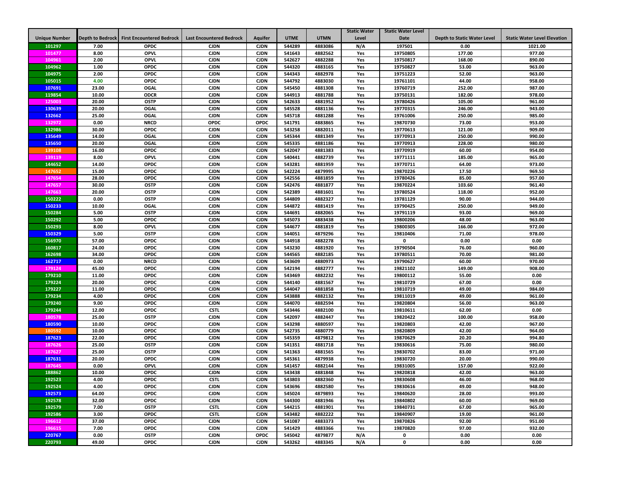|                      |                  |                                  |                                 |                |             |             | <b>Static Water</b> | <b>Static Water Level</b> |                                    |                                     |
|----------------------|------------------|----------------------------------|---------------------------------|----------------|-------------|-------------|---------------------|---------------------------|------------------------------------|-------------------------------------|
| <b>Unique Number</b> | Depth to Bedrock | <b>First Encountered Bedrock</b> | <b>Last Encountered Bedrock</b> | <b>Aquifer</b> | <b>UTME</b> | <b>UTMN</b> | Level               | <b>Date</b>               | <b>Depth to Static Water Level</b> | <b>Static Water Level Elevation</b> |
| 101297               | 7.00             | <b>OPDC</b>                      | <b>CJDN</b>                     | <b>CJDN</b>    | 544289      | 4883086     | N/A                 | 197501                    | 0.00                               | 1021.00                             |
| 101477               | 8.00             | <b>OPVL</b>                      | <b>CJDN</b>                     | <b>CJDN</b>    | 541643      | 4882562     | Yes                 | 19750805                  | 177.00                             | 977.00                              |
| 104961               | 2.00             | <b>OPVL</b>                      | <b>CJDN</b>                     | <b>CJDN</b>    | 542627      | 4882288     | Yes                 | 19750817                  | 168.00                             | 890.00                              |
| 104962               | 1.00             | <b>OPDC</b>                      | <b>CJDN</b>                     | <b>CJDN</b>    | 544320      | 4883165     | Yes                 | 19750827                  | 53.00                              | 963.00                              |
| 104975               | 2.00             | <b>OPDC</b>                      | <b>CJDN</b>                     | <b>CJDN</b>    | 544343      | 4882978     | Yes                 | 19751223                  | 52.00                              | 963.00                              |
| 105015               | 4.00             | <b>OPDC</b>                      | <b>CJDN</b>                     | <b>CJDN</b>    | 544792      | 4883030     | Yes                 | 19761101                  | 44.00                              | 958.00                              |
| 107691               | 23.00            | <b>OGAL</b>                      | <b>CJDN</b>                     | <b>CJDN</b>    | 545450      | 4881308     | Yes                 | 19760719                  | 252.00                             | 987.00                              |
| 119854               | 10.00            | <b>ODCR</b>                      | <b>CJDN</b>                     | <b>CJDN</b>    | 544913      | 4881788     | Yes                 | 19750131                  | 182.00                             | 978.00                              |
| 125003               | 20.00            | <b>OSTP</b>                      | <b>CJDN</b>                     | <b>CJDN</b>    | 542633      | 4881952     | Yes                 | 19780426                  | 105.00                             | 961.00                              |
| 130639               | 20.00            | <b>OGAL</b>                      | <b>CJDN</b>                     | <b>CJDN</b>    | 545528      | 4881136     | Yes                 | 19770315                  | 246.00                             | 943.00                              |
| 132662               | 25.00            | <b>OGAL</b>                      | <b>CJDN</b>                     | <b>CJDN</b>    | 545718      | 4881288     | Yes                 | 19761006                  | 250.00                             | 985.00                              |
| 132972               | 0.00             | <b>NRCD</b>                      | <b>OPDC</b>                     | <b>OPDC</b>    | 541791      | 4883865     | Yes                 | 19870730                  | 73.00                              | 953.00                              |
| 132986               | 30.00            | <b>OPDC</b>                      | <b>CJDN</b>                     | <b>CJDN</b>    | 543258      | 4882011     | Yes                 | 19770613                  | 121.00                             | 909.00                              |
| 135649               | 14.00            | <b>OGAL</b>                      | <b>CJDN</b>                     | <b>CJDN</b>    | 545344      | 4881349     | Yes                 | 19770913                  | 250.00                             | 990.00                              |
| 135650               | 20.00            | OGAL                             | <b>CJDN</b>                     | <b>CJDN</b>    | 545335      | 4881186     | Yes                 | 19770913                  | 228.00                             | 980.00                              |
| 139108               | 16.00            | <b>OPDC</b>                      | <b>CJDN</b>                     | <b>CJDN</b>    | 542047      | 4881383     | Yes                 | 19770919                  | 60.00                              | 954.00                              |
| 139119               | 8.00             | <b>OPVL</b>                      | <b>CJDN</b>                     | <b>CJDN</b>    | 540441      | 4882739     | Yes                 | 19771111                  | 185.00                             | 965.00                              |
| 144652               | 14.00            | <b>OPDC</b>                      | <b>CJDN</b>                     | <b>CJDN</b>    | 543281      | 4881959     | Yes                 | 19770711                  | 64.00                              | 973.00                              |
| 147652               | 15.00            | <b>OPDC</b>                      | <b>CJDN</b>                     | <b>CJDN</b>    | 542224      | 4879995     | Yes                 | 19870226                  | 17.50                              | 969.50                              |
| 147654               | 28.00            | <b>OPDC</b>                      | <b>CJDN</b>                     | <b>CJDN</b>    | 542556      | 4881859     | Yes                 | 19780426                  | 85.00                              | 957.00                              |
| 147657               | 30.00            | <b>OSTP</b>                      | <b>CJDN</b>                     | <b>CJDN</b>    | 542476      | 4881877     | Yes                 | 19870224                  | 103.60                             | 961.40                              |
| 147663               | 20.00            | <b>OSTP</b>                      | <b>CJDN</b>                     | <b>CJDN</b>    | 542389      | 4881601     | Yes                 | 19780524                  | 118.00                             | 952.00                              |
| 150222               | 0.00             | <b>OSTP</b>                      | <b>CJDN</b>                     | <b>CJDN</b>    | 544809      | 4882327     | Yes                 | 19781129                  | 90.00                              | 944.00                              |
| 150233               | 10.00            | <b>OGAL</b>                      | <b>CJDN</b>                     | <b>CJDN</b>    | 544872      | 4881419     | Yes                 | 19790425                  | 250.00                             | 949.00                              |
| 150284               | 5.00             |                                  | <b>CJDN</b>                     | <b>CJDN</b>    |             | 4882065     |                     |                           | 93.00                              |                                     |
|                      |                  | <b>OSTP</b>                      |                                 |                | 544691      |             | Yes                 | 19791119                  |                                    | 969.00                              |
| 150292               | 5.00             | <b>OPDC</b>                      | <b>CJDN</b>                     | <b>CJDN</b>    | 545073      | 4883438     | Yes                 | 19800206                  | 48.00                              | 963.00                              |
| 150293               | 8.00             | <b>OPVL</b>                      | <b>CJDN</b>                     | <b>CJDN</b>    | 544677      | 4881819     | Yes                 | 19800305                  | 166.00                             | 972.00                              |
| 150329               | 5.00             | <b>OSTP</b>                      | <b>CJDN</b>                     | <b>CJDN</b>    | 544051      | 4879296     | Yes                 | 19810406                  | 71.00                              | 978.00                              |
| 156970               | 57.00            | <b>OPDC</b>                      | <b>CJDN</b>                     | <b>CJDN</b>    | 544918      | 4882278     | Yes                 | 0                         | 0.00                               | 0.00                                |
| 160817               | 24.00            | <b>OPDC</b>                      | <b>CJDN</b>                     | <b>CJDN</b>    | 543230      | 4881920     | Yes                 | 19790504                  | 76.00                              | 960.00                              |
| 162698               | 34.00            | <b>OPDC</b>                      | <b>CJDN</b>                     | <b>CJDN</b>    | 544565      | 4882185     | Yes                 | 19780511                  | 70.00                              | 981.00                              |
| 162717               | 0.00             | <b>NRCD</b>                      | <b>CJDN</b>                     | <b>CJDN</b>    | 543609      | 4880973     | Yes                 | 19790627                  | 60.00                              | 970.00                              |
| 179124               | 45.00            | <b>OPDC</b>                      | <b>CJDN</b>                     | <b>CJDN</b>    | 542194      | 4882777     | Yes                 | 19821102                  | 149.00                             | 908.00                              |
| 179210               | 11.00            | <b>OPDC</b>                      | <b>CJDN</b>                     | <b>CJDN</b>    | 543469      | 4882232     | Yes                 | 19800112                  | 55.00                              | 0.00                                |
| 179224               | 20.00            | <b>OPDC</b>                      | <b>CJDN</b>                     | <b>CJDN</b>    | 544140      | 4881567     | Yes                 | 19810729                  | 67.00                              | 0.00                                |
| 179227               | 11.00            | <b>OPDC</b>                      | <b>CJDN</b>                     | <b>CJDN</b>    | 544047      | 4881858     | Yes                 | 19810719                  | 49.00                              | 984.00                              |
| 179234               | 4.00             | <b>OPDC</b>                      | <b>CJDN</b>                     | <b>CJDN</b>    | 543888      | 4882132     | Yes                 | 19811019                  | 49.00                              | 961.00                              |
| 179240               | 9.00             | <b>OPDC</b>                      | <b>CJDN</b>                     | <b>CJDN</b>    | 544070      | 4882594     | Yes                 | 19820804                  | 56.00                              | 963.00                              |
| 179244               | 12.00            | <b>OPDC</b>                      | <b>CSTL</b>                     | <b>CJDN</b>    | 543446      | 4882100     | Yes                 | 19810611                  | 62.00                              | 0.00                                |
| 180578               | 25.00            | <b>OSTP</b>                      | <b>CJDN</b>                     | <b>CJDN</b>    | 542097      | 4882447     | Yes                 | 19820422                  | 100.00                             | 958.00                              |
| 180590               | 10.00            | <b>OPDC</b>                      | <b>CJDN</b>                     | <b>CJDN</b>    | 543298      | 4880597     | Yes                 | 19820803                  | 42.00                              | 967.00                              |
| 180592               | 10.00            | <b>OPDC</b>                      | <b>CJDN</b>                     | <b>CJDN</b>    | 542735      | 4880779     | Yes                 | 19820809                  | 42.00                              | 964.00                              |
| 187623               | 22.00            | <b>OPDC</b>                      | <b>CJDN</b>                     | <b>CJDN</b>    | 545359      | 4879812     | Yes                 | 19870629                  | 20.20                              | 994.80                              |
| 187626               | 25.00            | <b>OSTP</b>                      | <b>CJDN</b>                     | <b>CJDN</b>    | 541351      | 4881718     | Yes                 | 19830616                  | 75.00                              | 980.00                              |
| 187627               | 25.00            | <b>OSTP</b>                      | <b>CJDN</b>                     | <b>CJDN</b>    | 541363      | 4881565     | Yes                 | 19830702                  | 83.00                              | 971.00                              |
| 187631               | 20.00            | <b>OPDC</b>                      | <b>CJDN</b>                     | <b>CJDN</b>    | 545361      | 4879938     | Yes                 | 19830720                  | 20.00                              | 990.00                              |
| 187645               | 0.00             | <b>OPVL</b>                      | <b>CJDN</b>                     | <b>CJDN</b>    | 541457      | 4882144     | Yes                 | 19831005                  | 157.00                             | 922.00                              |
| 188862               | 10.00            | <b>OPDC</b>                      | <b>CJDN</b>                     | <b>CJDN</b>    | 543438      | 4881848     | Yes                 | 19820818                  | 42.00                              | 963.00                              |
| 192523               | 4.00             | <b>OPDC</b>                      | <b>CSTL</b>                     | <b>CJDN</b>    | 543803      | 4882360     | Yes                 | 19830608                  | 46.00                              | 968.00                              |
| 192524               | 4.00             | <b>OPDC</b>                      | <b>CJDN</b>                     | <b>CJDN</b>    | 543696      | 4882580     | Yes                 | 19830616                  | 49.00                              | 948.00                              |
| 192573               | 64.00            | <b>OPDC</b>                      | <b>CJDN</b>                     | <b>CJDN</b>    | 545024      | 4879893     | Yes                 | 19840620                  | 28.00                              | 993.00                              |
| 192578               | 32.00            | <b>OPDC</b>                      | <b>CJDN</b>                     | <b>CJDN</b>    | 544300      | 4881946     | Yes                 | 19840802                  | 60.00                              | 969.00                              |
| 192579               | 7.00             | <b>OSTP</b>                      | <b>CSTL</b>                     | <b>CJDN</b>    | 544215      | 4881901     | Yes                 | 19840731                  | 67.00                              | 965.00                              |
| 192586               | 3.00             | <b>OPDC</b>                      | <b>CSTL</b>                     | <b>CJDN</b>    | 543482      | 4882222     | Yes                 | 19840907                  | 19.00                              | 961.00                              |
| 196612               | 37.00            | <b>OPDC</b>                      | <b>CJDN</b>                     | <b>CJDN</b>    | 541087      | 4883373     | Yes                 | 19870826                  | 92.00                              | 951.00                              |
| 196615               | 7.00             | <b>OPDC</b>                      | <b>CJDN</b>                     | <b>CJDN</b>    | 541429      | 4883366     | Yes                 | 19870820                  | 97.00                              | 932.00                              |
| 220767               | 0.00             | <b>OSTP</b>                      | <b>CJDN</b>                     | <b>OPDC</b>    | 545042      | 4879877     | N/A                 | $\mathbf 0$               | 0.00                               | 0.00                                |
| 220793               | 49.00            | <b>OPDC</b>                      | <b>CJDN</b>                     | <b>CJDN</b>    | 543262      | 4883345     | N/A                 | 0                         | 0.00                               | 0.00                                |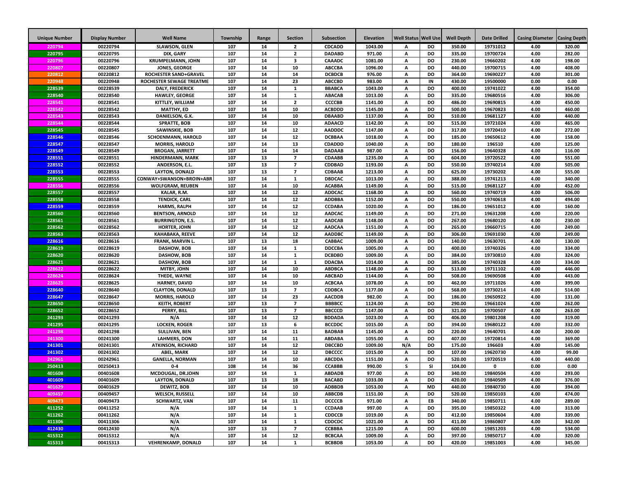| <b>Unique Number</b> | <b>Display Number</b> | <b>Well Name</b>                            | Township   | Range    | <b>Section</b>          | Subsection                     | <b>Elevation</b>   | Well Status   Well Use |                 | <b>Well Depth</b> | <b>Date Drilled</b>  | <b>Casing Diameter</b> | <b>Casing Depth</b> |
|----------------------|-----------------------|---------------------------------------------|------------|----------|-------------------------|--------------------------------|--------------------|------------------------|-----------------|-------------------|----------------------|------------------------|---------------------|
| 220794               | 00220794              | <b>SLAWSON, GLEN</b>                        | 107        | 14       | $\overline{2}$          | <b>CDCADD</b>                  | 1043.00            | А                      | <b>DO</b>       | 350.00            | 19731012             | 4.00                   | 320.00              |
| 220795               | 00220795              | DIX, GARY                                   | 107        | 14       | $\overline{2}$          | <b>DADABD</b>                  | 971.00             | А                      | <b>DO</b>       | 335.00            | 19700724             | 4.00                   | 282.00              |
| 220796               | 00220796              | <b>KRUMPELMANN, JOHN</b>                    | 107        | 14       | 3                       | CAAADC                         | 1081.00            | А                      | <b>DO</b>       | 230.00            | 19660202             | 4.00                   | 198.00              |
| 220807               | 00220807              | JONES, GEORGE                               | 107        | 14       | 10                      | <b>ABCCBA</b>                  | 1096.00            | А                      | DO              | 440.00            | 19700715             | 4.00                   | 408.00              |
| 220812               | 00220812              | <b>ROCHESTER SAND+GRAVEL</b>                | 107        | 14       | 14                      | <b>DCBDCB</b>                  | 976.00             | A                      | <b>DO</b>       | 364.00            | 19690227             | 4.00                   | 301.00              |
| 220948               | 00220948              | ROCHESTER SEWAGE TREATME                    | 107        | 14       | 23                      | <b>ABCCBD</b>                  | 983.00             | А                      | IN              | 430.00            | 19500000             | 0.00                   | 0.00                |
| 228539               | 00228539              | <b>DALY, FREDERICK</b>                      | 107        | 14       | $\mathbf{1}$            | <b>BBABCA</b>                  | 1043.00            | A                      | <b>DO</b>       | 400.00            | 19741022             | 4.00                   | 354.00              |
| 228540               | 00228540              | <b>HAWLEY, GEORGE</b>                       | 107        | 14       | $\mathbf 1$             | <b>ABACAB</b>                  | 1013.00            | А                      | <b>DO</b>       | 335.00            | 19680516             | 4.00                   | 306.00              |
| 228541               | 00228541              | KITTLEY, WILLIAM                            | 107        | 14       | $\overline{2}$          | <b>CCCCBB</b>                  | 1141.00            | А                      | DO              | 486.00            | 19690815             | 4.00                   | 450.00              |
| 228542               | 00228542              | <b>MATTHY, ED</b>                           | 107        | 14       | 10                      | <b>ACBDDD</b>                  | 1145.00            | A                      | DO              | 500.00            | 19670823             | 4.00                   | 460.00              |
| 228543               | 00228543              | DANIELSON, G.K.                             | 107        | 14       | 10                      | <b>DBAABD</b>                  | 1137.00            | А                      | DO              | 510.00            | 19681127             | 4.00                   | 440.00              |
| 228544               | 00228544              | <b>SPRATTE, BOB</b>                         | 107        | 14       | 10                      | <b>ADAACD</b>                  | 1142.00            | А                      | DO              | 515.00            | 19721024             | 4.00                   | 465.00              |
| 228545               | 00228545              | SAWINSKIE, BOB                              | 107        | 14       | 12                      | <b>AADDDC</b>                  | 1147.00            | А                      | DO              | 317.00            | 19720410             | 4.00                   | 272.00              |
| 228546               | 00228546              | <b>SCHOENMANN, HAROLD</b>                   | 107        | 14       | 12                      | <b>DCBBAA</b>                  | 1018.00            | Α                      | <b>DO</b>       | 185.00            | 19650612             | 4.00                   | 158.00              |
| 228547               | 00228547              | <b>MORRIS, HAROLD</b>                       | 107        | 14       | 13                      | <b>CDADDD</b>                  | 1040.00            | А                      | DO              | 180.00            | 196510               | 4.00                   | 125.00              |
| 228549               | 00228549              | <b>BROGAN, JARRETT</b>                      | 107        | 14       | 14                      | <b>DADAAB</b>                  | 987.00             | А                      | DO              | 156.00            | 19640328             | 4.00                   | 116.00              |
| 228551               | 00228551              | HINDERMANN, MARK                            | 107        | 13       | $\overline{7}$          | <b>CDAABB</b>                  | 1235.00            | Α                      | DO              | 604.00            | 19720522             | 4.00                   | 551.00              |
| 228552               | 00228552              | ANDERSON, E.L.                              | 107        | 13       | $\overline{z}$          | CDDBAD                         | 1193.00            | A                      | DO              | 550.00            | 19740214             | 4.00                   | 505.00              |
| 228553               | 00228553              | <b>LAYTON, DONALD</b>                       | 107        | 13       | $\overline{z}$          | <b>CDBAAB</b>                  | 1213.00            | A                      | DO              | 625.00            | 19730202             | 4.00                   | 555.00              |
| 228555               | 00228555              | CONWAY+SWANSON+BROIN+ABR                    | 107        | 14       | $\mathbf{1}$            | <b>DBDCAC</b>                  | 1013.00            | A                      | <b>DO</b>       | 388.00            | 19741213             | 4.00                   | 340.00              |
| 228556               | 00228556              | <b>WOLFGRAM, REUBEN</b>                     | 107        | 14       | 10                      | <b>ACABBA</b>                  | 1149.00            | A                      | <b>DO</b>       | 515.00            | 19681127             | 4.00                   | 452.00              |
| 228557               | 00228557              | KALAR. R.M.                                 | 107        | 14       | 12                      | <b>ADDCAC</b>                  | 1168.00            | A                      | <b>DO</b>       | 560.00            | 19740719             | 4.00                   | 506.00              |
| 228558               | 00228558              | <b>TENDICK, CARL</b><br><b>HARMS, RALPH</b> | 107<br>107 | 14       | 12<br>12                | <b>ADDBBA</b>                  | 1152.00<br>1020.00 | A                      | <b>DO</b><br>DO | 550.00            | 19740618             | 4.00<br>4.00           | 494.00<br>160.00    |
| 228559<br>228560     | 00228559<br>00228560  | <b>BENTSON, ARNOLD</b>                      | 107        | 14<br>14 | 12                      | <b>CCDABA</b><br><b>AADCAC</b> | 1149.00            | А<br>A                 | <b>DO</b>       | 186.00<br>271.00  | 19651012<br>19631208 | 4.00                   | 220.00              |
| 228561               | 00228561              |                                             | 107        | 14       | 12                      | <b>AADCAB</b>                  | 1148.00            | А                      | DO              | 267.00            | 19680120             | 4.00                   | 230.00              |
| 228562               | 00228562              | <b>BURRINGTON, E.S.</b><br>HORTER, JOHN     | 107        | 14       | 12                      | <b>AADCAA</b>                  | 1151.00            | А                      | <b>DO</b>       | 265.00            | 19660715             | 4.00                   | 249.00              |
| 228563               | 00228563              | <b>KAHABAKA, REEVE</b>                      | 107        | 14       | $12\,$                  | <b>AADDBC</b>                  | 1149.00            | А                      | <b>DO</b>       | 306.00            | 19691030             | 4.00                   | 249.00              |
| 228616               | 00228616              | FRANK, MARVIN L.                            | 107        | 13       | 18                      | CABBAC                         | 1009.00            | А                      | <b>DO</b>       | 140.00            | 19630701             | 4.00                   | 130.00              |
| 228619               | 00228619              | DASHOW, BOB                                 | 107        | 14       | $\mathbf{1}$            | <b>DDCCBA</b>                  | 1005.00            | A                      | <b>DO</b>       | 400.00            | 19740326             | 4.00                   | 334.00              |
| 228620               | 00228620              | DASHOW, BOB                                 | 107        | 14       | $\mathbf{1}$            | <b>DCBDBD</b>                  | 1009.00            | А                      | <b>DO</b>       | 384.00            | 19730810             | 4.00                   | 324.00              |
| 228621               | 00228621              | DASHOW, BOB                                 | 107        | 14       | $\mathbf{1}$            | <b>DDACBA</b>                  | 1014.00            | A                      | <b>DO</b>       | 385.00            | 19740328             | 4.00                   | 334.00              |
| 228622               | 00228622              | MITBY, JOHN                                 | 107        | 14       | 10                      | <b>ABDBCA</b>                  | 1148.00            | А                      | <b>DO</b>       | 513.00            | 19711102             | 4.00                   | 446.00              |
| 228624               | 00228624              | THEDE, WAYNE                                | 107        | 14       | 10                      | <b>ABCBAD</b>                  | 1144.00            | А                      | DO              | 508.00            | 19690508             | 4.00                   | 443.00              |
| 228625               | 00228625              | <b>HARNEY, DAVID</b>                        | 107        | 14       | 10                      | <b>ACBCAA</b>                  | 1078.00            | A                      | DO              | 462.00            | 19711026             | 4.00                   | 399.00              |
| 228640               | 00228640              | <b>CLAYTON, DONALD</b>                      | 107        | 13       | $\overline{7}$          | <b>CDDBCA</b>                  | 1177.00            | А                      | DO              | 568.00            | 19730214             | 4.00                   | 514.00              |
| 228647               | 00228647              | <b>MORRIS, HAROLD</b>                       | 107        | 14       | 23                      | <b>AACDDB</b>                  | 982.00             | А                      | DO              | 186.00            | 19650922             | 4.00                   | 131.00              |
| 228650               | 00228650              | <b>KEITH, ROBERT</b>                        | 107        | 13       | $\overline{7}$          | <b>BBBBCC</b>                  | 1124.00            | А                      | <b>DO</b>       | 290.00            | 19661024             | 4.00                   | 262.00              |
| 228652               | 00228652              | PERRY, BILL                                 | 107        | 13       | $\overline{7}$          | <b>BBCCCD</b>                  | 1147.00            | Α                      | <b>DO</b>       | 321.00            | 19700507             | 4.00                   | 263.00              |
| 241293               | 00241293              | N/A                                         | 107        | 14       | 12                      | <b>BDDADA</b>                  | 1023.00            | А                      | DO              | 406.00            | 19801208             | 4.00                   | 319.00              |
| 241295               | 00241295              | <b>LOCKEN, ROGER</b>                        | 107        | 13       | 6                       | <b>BCCDDC</b>                  | 1015.00            | Α                      | DO              | 394.00            | 19680122             | 4.00                   | 332.00              |
| 241298               | 00241298              | SULLIVAN, BEN                               | 107        | 14       | 11                      | <b>BADBAB</b>                  | 1145.00            | A                      | DO              | 220.00            | 19640701             | 4.00                   | 200.00              |
| 241300               | 00241300              | <b>LAHMERS, DON</b>                         | 107        | 14       | 11                      | <b>ABDABA</b>                  | 1055.00            | А                      | DO              | 407.00            | 19720814             | 4.00                   | 369.00              |
| 241301               | 00241301              | <b>ATKINSON, RICHARD</b>                    | 107        | 14       | $12\,$                  | <b>DBCCBD</b>                  | 1009.00            | N/A                    | DO              | 175.00            | 196603               | 4.00                   | 145.00              |
| 241302               | 00241302              | ABEL, MARK                                  | 107        | 14       | $12\,$                  | DBCCCC                         | 1015.00            | A                      | <b>DO</b>       | 107.00            | 19620730             | 4.00                   | 99.00               |
| 242961               | 00242961              | <b>GANELLA, NORMAN</b>                      | 107        | 14       | 10                      | <b>ABCDDA</b>                  | 1151.00            | A                      | DO              | 520.00            | 19720519             | 4.00                   | 440.00              |
| 250413               | 00250413              | $0 - 4$                                     | 108        | 14       | 36                      | <b>CCABBB</b>                  | 990.00             | s                      | <b>SI</b>       | 104.00            | 0                    | 0.00                   | 0.00                |
| 401608               | 00401608              | MCDOUGAL, DR.JOHN                           | 107        | 14       | $\mathbf{1}$            | <b>ABDADB</b>                  | 977.00             | A                      | <b>DO</b>       | 340.00            | 19840504             | 4.00                   | 293.00              |
| 401609               | 00401609              | LAYTON, DONALD                              | 107        | 13       | 18                      | <b>BACABD</b>                  | 1033.00            | Α                      | DO              | 420.00            | 19840509             | 4.00                   | 376.00              |
| 401629               | 00401629              | DEWITZ, BOB                                 | 107        | 14       | 10                      | <b>ADBBDB</b>                  | 1053.00            | А                      | <b>MD</b>       | 440.00            | 19840730             | 4.00                   | 394.00              |
| 409457               | 00409457              | WELSCH, RUSSELL                             | 107        | 14       | 10                      | <b>ABBCDB</b>                  | 1151.00            | А                      | DO              | 520.00            | 19850103             | 4.00                   | 474.00              |
| 409473               | 00409473              | <b>SCHWARTZ, VAN</b>                        | 107        | 14       | 11                      | <b>DCCCCB</b>                  | 971.00             | А                      | EB              | 340.00            | 19850711             | 4.00                   | 289.00              |
| 411252               | 00411252              | N/A                                         | 107        | 14       | $\mathbf{1}$            | <b>CCDAAB</b>                  | 997.00             | А                      | DO              | 395.00            | 19850322             | 4.00                   | 313.00              |
| 411262               | 00411262              | N/A                                         | 107        | 14       | $\mathbf 1$             | <b>CDDCCB</b>                  | 1019.00            | Α                      | DO              | 412.00            | 19850604             | 4.00                   | 339.00              |
| 411306               | 00411306              | N/A                                         | 107        | 14       | $\mathbf 1$             | <b>CDDCDC</b>                  | 1021.00            | А                      | DO              | 411.00            | 19860807             | 4.00                   | 342.00              |
| 412430               | 00412430              | N/A                                         | 107        | 13       | $\overline{\mathbf{z}}$ | <b>CCBBBA</b>                  | 1215.00            | A                      | DO              | 600.00            | 19851203             | 4.00                   | 534.00              |
| 415312               | 00415312              | N/A                                         | 107        | 14       | 12                      | <b>BCBCAA</b>                  | 1009.00            | A                      | DO              | 397.00            | 19850717             | 4.00                   | 320.00              |
| 415313               | 00415313              | <b>VEHRENKAMP, DONALD</b>                   | 107        | 14       | $\mathbf{1}$            | <b>BCBBDB</b>                  | 1053.00            | A                      | DO              | 420.00            | 19851003             | 4.00                   | 345.00              |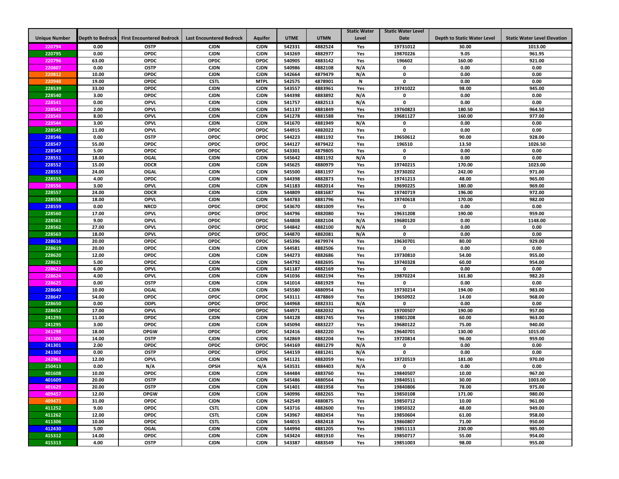|                      |                  |                                  |                                 |                |             |             | <b>Static Water</b> | <b>Static Water Level</b> |                                    |                                     |
|----------------------|------------------|----------------------------------|---------------------------------|----------------|-------------|-------------|---------------------|---------------------------|------------------------------------|-------------------------------------|
| <b>Unique Number</b> | Depth to Bedrock | <b>First Encountered Bedrock</b> | <b>Last Encountered Bedrock</b> | <b>Aquifer</b> | <b>UTME</b> | <b>UTMN</b> | Level               | <b>Date</b>               | <b>Depth to Static Water Level</b> | <b>Static Water Level Elevation</b> |
| 220794               | 0.00             | <b>OSTP</b>                      | <b>CJDN</b>                     | <b>CJDN</b>    | 542331      | 4882524     | Yes                 | 19731012                  | 30.00                              | 1013.00                             |
| 220795               | 0.00             | <b>OPDC</b>                      | <b>CJDN</b>                     | <b>CJDN</b>    | 543269      | 4882977     | Yes                 | 19870226                  | 9.05                               | 961.95                              |
| 220796               | 63.00            | <b>OPDC</b>                      | OPDC                            | OPDC           | 540905      | 4883142     | Yes                 | 196602                    | 160.00                             | 921.00                              |
| 220807               | 0.00             | <b>OSTP</b>                      | <b>CJDN</b>                     | <b>CJDN</b>    | 540986      | 4882108     | N/A                 | $\mathbf{0}$              | 0.00                               | 0.00                                |
| 220812               | 10.00            | <b>OPDC</b>                      | <b>CJDN</b>                     | <b>CJDN</b>    | 542664      | 4879479     | N/A                 | $\mathbf{0}$              | 0.00                               | 0.00                                |
| 220948               | 19.00            | <b>OPDC</b>                      | <b>CSTL</b>                     | <b>MTPL</b>    | 542575      | 4878901     | N                   | $\mathbf 0$               | 0.00                               | 0.00                                |
| 228539               | 33.00            | <b>OPDC</b>                      | <b>CJDN</b>                     | <b>CJDN</b>    | 543557      | 4883961     | Yes                 | 19741022                  | 98.00                              | 945.00                              |
| 228540               | 3.00             | <b>OPDC</b>                      | <b>CJDN</b>                     | <b>CJDN</b>    | 544398      | 4883892     | N/A                 | $\mathbf 0$               | 0.00                               | 0.00                                |
| 228541               | 0.00             | <b>OPVL</b>                      | <b>CJDN</b>                     | <b>CJDN</b>    | 541757      | 4882513     | N/A                 | $\mathbf 0$               | 0.00                               | 0.00                                |
| 228542               | 2.00             | <b>OPVL</b>                      | <b>CJDN</b>                     | <b>CJDN</b>    | 541137      | 4881849     | Yes                 | 19760823                  | 180.50                             | 964.50                              |
| 228543               | 8.00             | <b>OPVL</b>                      | <b>CJDN</b>                     | <b>CJDN</b>    | 541278      | 4881588     | Yes                 | 19681127                  | 160.00                             | 977.00                              |
| 228544               | 3.00             | <b>OPVL</b>                      | <b>CJDN</b>                     | <b>CJDN</b>    | 541670      | 4881949     | N/A                 | 0                         | 0.00                               | 0.00                                |
| 228545               | 11.00            | <b>OPVL</b>                      | <b>OPDC</b>                     | <b>OPDC</b>    | 544915      | 4882022     | Yes                 | 0                         | 0.00                               | 0.00                                |
| 228546               | 0.00             | <b>OSTP</b>                      | <b>OPDC</b>                     | <b>OPDC</b>    | 544223      | 4881192     | Yes                 | 19650612                  | 90.00                              | 928.00                              |
| 228547               | 55.00            | <b>OPDC</b>                      | <b>OPDC</b>                     | <b>OPDC</b>    | 544127      | 4879422     | Yes                 | 196510                    | 13.50                              | 1026.50                             |
| 228549               | 5.00             | <b>OPDC</b>                      | <b>OPDC</b>                     | <b>OPDC</b>    | 543301      | 4879805     | Yes                 | $\Omega$                  | 0.00                               | 0.00                                |
| 228551               | 18.00            | <b>OGAL</b>                      | <b>CJDN</b>                     | <b>CJDN</b>    | 545642      | 4881192     | N/A                 | $\mathbf 0$               | 0.00                               | 0.00                                |
| 228552               | 15.00            | <b>ODCR</b>                      | <b>CJDN</b>                     | <b>CJDN</b>    | 545625      | 4880979     | Yes                 | 19740215                  | 170.00                             | 1023.00                             |
| 228553               | 24.00            | <b>OGAL</b>                      | <b>CJDN</b>                     | <b>CJDN</b>    | 545500      | 4881197     | Yes                 | 19730202                  | 242.00                             | 971.00                              |
| 228555               | 4.00             | <b>OPDC</b>                      | <b>CJDN</b>                     | <b>CJDN</b>    | 544398      | 4882873     | Yes                 | 19741213                  | 48.00                              | 965.00                              |
| 228556               | 3.00             | <b>OPVL</b>                      | <b>CJDN</b>                     | <b>CJDN</b>    | 541183      | 4882014     | Yes                 | 19690225                  | 180.00                             | 969.00                              |
| 228557               | 24.00            | <b>ODCR</b>                      | <b>CJDN</b>                     | <b>CJDN</b>    | 544809      | 4881687     | Yes                 | 19740719                  | 196.00                             | 972.00                              |
| 228558               | 18.00            | <b>OPVL</b>                      | <b>CJDN</b>                     | <b>CJDN</b>    | 544783      | 4881796     | Yes                 | 19740618                  | 170.00                             | 982.00                              |
| 228559               | 0.00             | <b>NRCD</b>                      | <b>OPDC</b>                     | <b>OPDC</b>    | 543670      | 4881009     | Yes                 | $\mathbf 0$               | 0.00                               | 0.00                                |
| 228560               | 17.00            | <b>OPVL</b>                      | <b>OPDC</b>                     | OPDC           | 544796      | 4882080     | Yes                 | 19631208                  | 190.00                             | 959.00                              |
| 228561               | 9.00             | <b>OPVL</b>                      | <b>OPDC</b>                     | OPDC           | 544808      | 4882104     | N/A                 | 19680120                  | 0.00                               | 1148.00                             |
| 228562               | 27.00            | <b>OPVL</b>                      | <b>OPDC</b>                     | OPDC           | 544842      | 4882100     | N/A                 | $\mathbf{0}$              | 0.00                               | 0.00                                |
| 228563               | 18.00            | <b>OPVL</b>                      | <b>OPDC</b>                     | OPDC           | 544870      | 4882081     | N/A                 | $\mathbf 0$               | 0.00                               | 0.00                                |
| 228616               | 20.00            | <b>OPDC</b>                      | OPDC                            | OPDC           | 545396      | 4879974     | Yes                 | 19630701                  | 80.00                              | 929.00                              |
| 228619               | 20.00            | <b>OPDC</b>                      | <b>CJDN</b>                     | <b>CJDN</b>    | 544581      | 4882506     | Yes                 | 0                         | 0.00                               | 0.00                                |
| 228620               | 12.00            | <b>OPDC</b>                      | <b>CJDN</b>                     | <b>CJDN</b>    | 544273      | 4882686     | Yes                 | 19730810                  | 54.00                              | 955.00                              |
| 228621               | 5.00             | <b>OPDC</b>                      | <b>CJDN</b>                     | <b>CJDN</b>    | 544792      | 4882695     | Yes                 | 19740328                  | 60.00                              | 954.00                              |
| 228622               | 6.00             | <b>OPVL</b>                      | <b>CJDN</b>                     | <b>CJDN</b>    | 541187      | 4882169     | Yes                 | $\mathbf 0$               | 0.00                               | 0.00                                |
| 228624               | 4.00             | <b>OPVL</b>                      | <b>CJDN</b>                     | <b>CJDN</b>    | 541036      | 4882194     | Yes                 | 19870224                  | 161.80                             | 982.20                              |
| 228625               | 0.00             | <b>OSTP</b>                      | <b>CJDN</b>                     | <b>CJDN</b>    | 541014      | 4881929     | Yes                 | $\mathbf 0$               | 0.00                               | 0.00                                |
| 228640               | 10.00            | <b>OGAL</b>                      | <b>CJDN</b>                     | <b>CJDN</b>    | 545580      | 4880954     | Yes                 | 19730214                  | 194.00                             | 983.00                              |
| 228647               | 54.00            | <b>OPDC</b>                      | <b>OPDC</b>                     | <b>OPDC</b>    | 543111      | 4878869     | Yes                 | 19650922                  | 14.00                              | 968.00                              |
| 228650               | 0.00             | <b>ODPL</b>                      | <b>OPDC</b>                     | <b>OPDC</b>    | 544968      | 4882331     | N/A                 | 0                         | 0.00                               | 0.00                                |
| 228652               | 17.00            | <b>OPVL</b>                      | <b>OPDC</b>                     | <b>OPDC</b>    | 544971      | 4882032     | Yes                 | 19700507                  | 190.00                             | 957.00                              |
| 241293               | 11.00            | <b>OPDC</b>                      | <b>CJDN</b>                     | <b>CJDN</b>    | 544128      | 4881745     | Yes                 | 19801208                  | 60.00                              | 963.00                              |
| 241295               | 3.00             | <b>OPDC</b>                      | <b>CJDN</b>                     | <b>CJDN</b>    | 545094      | 4883227     | Yes                 | 19680122                  | 75.00                              | 940.00                              |
| 241298               | 18.00            | <b>OPGW</b>                      | <b>OPDC</b>                     | <b>OPDC</b>    | 542416      | 4882220     | Yes                 | 19640701                  | 130.00                             | 1015.00                             |
| 241300               | 14.00            | <b>OSTP</b>                      | <b>CJDN</b>                     | <b>CJDN</b>    | 542869      | 4882204     | Yes                 | 19720814                  | 96.00                              | 959.00                              |
| 241301               | 2.00             | <b>OPDC</b>                      | <b>OPDC</b>                     | <b>OPDC</b>    | 544169      | 4881279     | N/A                 | 0                         | 0.00                               | 0.00                                |
| 241302               | 0.00             | <b>OSTP</b>                      | <b>OPDC</b>                     | <b>OPDC</b>    | 544159      | 4881241     | N/A                 | $\Omega$                  | 0.00                               | 0.00                                |
| 242961               | 12.00            | <b>OPVL</b>                      | <b>CJDN</b>                     | <b>CJDN</b>    | 541121      | 4882059     | Yes                 | 19720519                  | 181.00                             | 970.00                              |
| 250413               | 0.00             | N/A                              | <b>OPSH</b>                     | N/A            | 543531      | 4884403     | N/A                 | 0                         | 0.00                               | 0.00                                |
| 401608               | 10.00            | <b>OPDC</b>                      | <b>CJDN</b>                     | <b>CJDN</b>    | 544484      | 4883760     | Yes                 | 19840507                  | 10.00                              | 967.00                              |
| 401609               | 20.00            | <b>OSTP</b>                      | <b>CJDN</b>                     | <b>CJDN</b>    | 545486      | 4880564     | Yes                 | 19840511                  | 30.00                              | 1003.00                             |
| 401629               | 20.00            | <b>OSTP</b>                      | <b>CJDN</b>                     | <b>CJDN</b>    | 541401      | 4881958     | Yes                 | 19840806                  | 78.00                              | 975.00                              |
| 409457               | 12.00            | <b>OPGW</b>                      | <b>CJDN</b>                     | <b>CJDN</b>    | 540996      | 4882265     | Yes                 | 19850108                  | 171.00                             | 980.00                              |
| 409473               | 31.00            | <b>OPDC</b>                      | <b>CJDN</b>                     | <b>CJDN</b>    | 542549      | 4880875     | Yes                 | 19850712                  | 10.00                              | 961.00                              |
| 411252               | 9.00             | <b>OPDC</b>                      | <b>CSTL</b>                     | <b>CJDN</b>    | 543716      | 4882600     | Yes                 | 19850322                  | 48.00                              | 949.00                              |
| 411262               | 12.00            | <b>OPDC</b>                      | <b>CSTL</b>                     | <b>CJDN</b>    | 543967      | 4882454     | Yes                 | 19850604                  | 61.00                              | 958.00                              |
| 411306               | 10.00            | <b>OPDC</b>                      | <b>CSTL</b>                     | <b>CJDN</b>    | 544015      | 4882418     | Yes                 | 19860807                  | 71.00                              | 950.00                              |
| 412430               | 5.00             | <b>OGAL</b>                      | <b>CJDN</b>                     | <b>CJDN</b>    | 544994      | 4881205     | Yes                 | 19851113                  | 230.00                             | 985.00                              |
| 415312               | 14.00            | <b>OPDC</b>                      | <b>CJDN</b>                     | <b>CJDN</b>    | 543424      | 4881910     | Yes                 | 19850717                  | 55.00                              | 954.00                              |
| 415313               | 4.00             | <b>OSTP</b>                      | <b>CJDN</b>                     | <b>CJDN</b>    | 543387      | 4883549     | Yes                 | 19851003                  | 98.00                              | 955.00                              |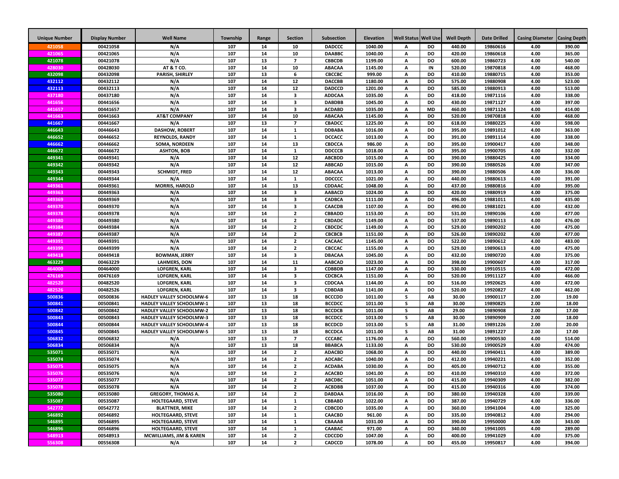| <b>Unique Number</b> | <b>Display Number</b> | <b>Well Name</b>                | Township   | Range    | <b>Section</b>          | Subsection       | <b>Elevation</b>   | Well Status | <b>Well Use</b>        | <b>Well Depth</b> | <b>Date Drilled</b>  | <b>Casing Diameter</b> | <b>Casing Depth</b> |
|----------------------|-----------------------|---------------------------------|------------|----------|-------------------------|------------------|--------------------|-------------|------------------------|-------------------|----------------------|------------------------|---------------------|
| 421058               | 00421058              | N/A                             | 107        | 14       | 10                      | <b>DADCCC</b>    | 1040.00            | А           | <b>DO</b>              | 440.00            | 19860616             | 4.00                   | 390.00              |
| 421065               | 00421065              | N/A                             | 107        | 14       | 10                      | <b>DAABBC</b>    | 1040.00            | А           | <b>DO</b>              | 420.00            | 19860618             | 4.00                   | 365.00              |
| 421078               | 00421078              | N/A                             | 107        | 13       | $\overline{7}$          | <b>CBBCDB</b>    | 1199.00            | A           | <b>DO</b>              | 600.00            | 19860723             | 4.00                   | 540.00              |
| 428030               | 00428030              | AT&TCO.                         | 107        | 14       | 10                      | <b>ABACAA</b>    | 1145.00            | A           | IN                     | 520.00            | 19870818             | 4.00                   | 468.00              |
| 432098               | 00432098              | PARISH, SHIRLEY                 | 107        | 13       | 6                       | СВССВС           | 999.00             | Α           | DO                     | 410.00            | 19880715             | 4.00                   | 353.00              |
| 432112               | 00432112              | N/A                             | 107        | 14       | 12                      | <b>DACCBB</b>    | 1180.00            | А           | DO                     | 575.00            | 19880908             | 4.00                   | 523.00              |
| 432113               | 00432113              | N/A                             | 107        | 14       | 12                      | <b>DADCCD</b>    | 1201.00            | А           | DO                     | 585.00            | 19880913             | 4.00                   | 513.00              |
| 437180               | 00437180              | N/A                             | 107        | 14       | 3                       | <b>ADDCAA</b>    | 1035.00            | А           | DO                     | 418.00            | 19871116             | 4.00                   | 338.00              |
| 441656               | 00441656              | N/A                             | 107        | 14       | 3                       | <b>DABDBB</b>    | 1045.00            | A           | DO                     | 430.00            | 19871127             | 4.00                   | 397.00              |
| 441657               | 00441657              | N/A                             | 107        | 14       | 3                       | <b>ACDABD</b>    | 1035.00            | А           | <b>MD</b>              | 460.00            | 19871124             | 4.00                   | 414.00              |
| 441663               | 00441663              | <b>AT&amp;T COMPANY</b>         | 107        | 14       | 10                      | <b>ABACAA</b>    | 1145.00            | А           | DO                     | 520.00            | 19870818             | 4.00                   | 468.00              |
| 441667               | 00441667              | N/A                             | 107        | 13       | $\overline{7}$          | CBADCC           | 1225.00            | А           | <b>DO</b>              | 618.00            | 19880225             | 4.00                   | 598.00              |
| 446643               | 00446643              | <b>DASHOW, ROBERT</b>           | 107        | 14       | $\mathbf{1}$            | <b>DDBABA</b>    | 1016.00            | А           | <b>DO</b>              | 395.00            | 19891012             | 4.00                   | 363.00              |
| 446652               | 00446652              | <b>REYNOLDS, RANDY</b>          | 107        | 14       | $\mathbf{1}$            | <b>DCCACC</b>    | 1013.00            | А           | DO                     | 391.00            | 19891114             | 4.00                   | 338.00              |
| 446662               | 00446662              | SOMA, NORDEEN                   | 107        | 14       | 13                      | CBDCCA           | 986.00             | A           | <b>DO</b>              | 395.00            | 19900417             | 4.00                   | 348.00              |
| 446672               | 00446672              | <b>ASHTON, BOB</b>              | 107        | 14       | $\mathbf{1}$            | <b>DDCCCB</b>    | 1018.00            | A           | <b>DO</b>              | 395.00            | 19900705             | 4.00                   | 332.00              |
| 449341               | 00449341              | N/A                             | 107        | 14       | 12                      | <b>ABCBDD</b>    | 1015.00            | A           | <b>DO</b>              | 390.00            | 19880425             | 4.00                   | 334.00              |
| 449342               | 00449342              | N/A                             | 107        | 14       | 12                      | <b>ABBCAD</b>    | 1015.00            | А           | <b>DO</b>              | 390.00            | 19880526             | 4.00                   | 347.00              |
| 449343               | 00449343              | <b>SCHMIDT, FRED</b>            | 107        | 14       | 12                      | <b>ABACAA</b>    | 1013.00            | А           | <b>DO</b>              | 390.00            | 19880506             | 4.00                   | 336.00              |
| 449344               | 00449344              | N/A                             | 107        | 14       | $\mathbf{1}$            | <b>DDCCCC</b>    | 1021.00            | A           | DO                     | 440.00            | 19880613             | 4.00                   | 391.00              |
| 449361               | 00449361              | <b>MORRIS, HAROLD</b>           | 107<br>107 | 14<br>14 | 13                      | CDDAAC           | 1048.00            | А           | <b>DO</b><br><b>DO</b> | 437.00            | 19880816             | 4.00                   | 395.00              |
| 449363               | 00449363              | N/A                             |            |          | 3                       | <b>AABACD</b>    | 1024.00            | А           |                        | 420.00            | 19880919             | 4.00                   | 375.00              |
| 449369<br>449370     | 00449369              | N/A<br>N/A                      | 107<br>107 | 14<br>14 | 3<br>3                  | CADBCA<br>CAACDB | 1111.00            | А<br>А      | DO<br>DO               | 496.00<br>490.00  | 19881011             | 4.00<br>4.00           | 435.00<br>432.00    |
| 449378               | 00449370<br>00449378  | N/A                             | 107        | 14       | $\overline{2}$          | CBBADD           | 1107.00<br>1153.00 | A           | <b>DO</b>              | 531.00            | 19881021<br>19890106 | 4.00                   | 477.00              |
| 449380               | 00449380              | N/A                             | 107        | 14       | $\overline{2}$          | CBDADC           | 1149.00            | А           | DO                     | 537.00            | 19890113             | 4.00                   | 476.00              |
| 449384               | 00449384              | N/A                             | 107        | 14       | $\overline{2}$          | <b>CBDCDC</b>    | 1149.00            | A           | DO                     | 529.00            | 19890202             | 4.00                   | 475.00              |
| 449387               | 00449387              | N/A                             | 107        | 14       | $\overline{2}$          | <b>CBCBCB</b>    | 1151.00            | А           | DO                     | 526.00            | 19890202             | 4.00                   | 477.00              |
| 449391               | 00449391              | N/A                             | 107        | 14       | $\overline{\mathbf{2}}$ | CACAAC           | 1145.00            | А           | <b>DO</b>              | 522.00            | 19890612             | 4.00                   | 483.00              |
| 449399               | 00449399              | N/A                             | 107        | 14       | $\overline{2}$          | CBCCAC           | 1155.00            | Α           | DO                     | 529.00            | 19890613             | 4.00                   | 475.00              |
| 449418               | 00449418              | <b>BOWMAN, JERRY</b>            | 107        | 14       | 3                       | <b>DBACAA</b>    | 1045.00            | A           | DO                     | 432.00            | 19890720             | 4.00                   | 375.00              |
| 463229               | 00463229              | <b>LAHMERS, DON</b>             | 107        | 14       | 11                      | <b>AABCAD</b>    | 1023.00            | А           | DO                     | 398.00            | 19900607             | 4.00                   | 317.00              |
| 464000               | 00464000              | <b>LOFGREN, KARL</b>            | 107        | 14       | 3                       | <b>CDBBDB</b>    | 1147.00            | A           | DO                     | 530.00            | 19910515             | 4.00                   | 472.00              |
| 476169               | 00476169              | <b>LOFGREN, KARL</b>            | 107        | 14       | 3                       | <b>CDCBCA</b>    | 1151.00            | A           | DO                     | 520.00            | 19911127             | 4.00                   | 466.00              |
| 482520               | 00482520              | <b>LOFGREN, KARL</b>            | 107        | 14       | 3                       | CDDCAA           | 1144.00            | А           | DO                     | 516.00            | 19920625             | 4.00                   | 472.00              |
| 482526               | 00482526              | <b>LOFGREN, KARL</b>            | 107        | 14       | 3                       | CDBDAB           | 1141.00            | А           | <b>DO</b>              | 520.00            | 19920827             | 4.00                   | 462.00              |
| 500836               | 00500836              | HADLEY VALLEY SCHOOLMW-6        | 107        | 13       | 18                      | <b>BCCCDD</b>    | 1011.00            | s           | AB                     | 30.00             | 19900117             | 2.00                   | 19.00               |
| 500841               | 00500841              | HADLEY VALLEY SCHOOLMW-1        | 107        | 13       | 18                      | <b>BCCDCC</b>    | 1011.00            | s           | AB                     | 30.00             | 19890825             | 2.00                   | 18.00               |
| 500842               | 00500842              | <b>HADLEY VALLEY SCHOOLMW-2</b> | 107        | 13       | 18                      | <b>BCCDCB</b>    | 1011.00            | S           | AB                     | 29.00             | 19890908             | 2.00                   | 17.00               |
| 500843               | 00500843              | <b>HADLEY VALLEY SCHOOLMW-3</b> | 107        | 13       | 18                      | <b>BCCDCC</b>    | 1013.00            | s           | AB                     | 30.00             | 19890909             | 2.00                   | 18.00               |
| 500844               | 00500844              | <b>HADLEY VALLEY SCHOOLMW-4</b> | 107        | 13       | 18                      | <b>BCCDCD</b>    | 1013.00            | s           | AB                     | 31.00             | 19891226             | 2.00                   | 20.00               |
| 500845               | 00500845              | HADLEY VALLEY SCHOOLMW-5        | 107        | 13       | 18                      | <b>BCCDCA</b>    | 1011.00            | S           | AB                     | 31.00             | 19891227             | 2.00                   | 17.00               |
| 506832               | 00506832              | N/A                             | 107        | 13       | $\overline{7}$          | <b>CCCABC</b>    | 1176.00            | A           | <b>DO</b>              | 560.00            | 19900530             | 4.00                   | 514.00              |
| 506834               | 00506834              | N/A                             | 107        | 13       | 18                      | <b>BBABCA</b>    | 1133.00            | A           | <b>DO</b>              | 530.00            | 19900529             | 4.00                   | 474.00              |
| 535071               | 00535071              | N/A                             | 107        | 14       | $\overline{2}$          | <b>ADACBD</b>    | 1068.00            | A           | DO                     | 440.00            | 19940411             | 4.00                   | 389.00              |
| 535074               | 00535074              | N/A                             | 107        | 14       | $\overline{2}$          | <b>ADCABC</b>    | 1040.00            | А           | DO                     | 412.00            | 19940221             | 4.00                   | 352.00              |
| 535075               | 00535075              | N/A                             | 107        | 14       | $\overline{2}$          | <b>ACDABA</b>    | 1030.00            | А           | DO                     | 405.00            | 19940712             | 4.00                   | 355.00              |
| 535076               | 00535076              | N/A                             | 107        | 14       | $\overline{2}$          | <b>ACACBD</b>    | 1041.00            | А           | DO                     | 410.00            | 19940310             | 4.00                   | 372.00              |
| 535077               | 00535077              | N/A                             | 107        | 14       | $\overline{2}$          | <b>ABCDBC</b>    | 1051.00            | А           | DO                     | 415.00            | 19940309             | 4.00                   | 382.00              |
| 535078               | 00535078              | N/A                             | 107        | 14       | $\overline{2}$          | <b>ACBDBB</b>    | 1037.00            | А           | DO                     | 415.00            | 19940316             | 4.00                   | 374.00              |
| 535080               | 00535080              | <b>GREGORY, THOMAS A.</b>       | 107        | 14       | $\overline{2}$          | <b>DABDAA</b>    | 1016.00            | А           | DO                     | 380.00            | 19940328             | 4.00                   | 339.00              |
| 535087               | 00535087              | <b>HOLTEGAARD, STEVE</b>        | 107        | 14       | $\mathbf{1}$            | CBBABD           | 1022.00            | A           | DO                     | 387.00            | 19940729             | 4.00                   | 336.00              |
| 542772               | 00542772              | <b>BLATTNER, MIKE</b>           | 107        | 14       | $\overline{2}$          | <b>CDBCDD</b>    | 1035.00            | A           | DO                     | 360.00            | 19941004             | 4.00                   | 325.00              |
| 546892               | 00546892              | HOLTEGAARD, STEVE               | 107        | 14       | $\mathbf{1}$            | CAACBD           | 961.00             | A           | DO                     | 335.00            | 19940812             | 4.00                   | 294.00              |
| 546895               | 00546895              | HOLTEGAARD, STEVE               | 107        | 14       | $\mathbf{1}$            | CBAAAB           | 1031.00            | A           | DO                     | 390.00            | 19950000             | 4.00                   | 343.00              |
| 546896               | 00546896              | HOLTEGAARD, STEVE               | 107        | 14       | $\mathbf{1}$            | CAABAC           | 971.00             | A           | DO                     | 340.00            | 19941005             | 4.00                   | 289.00              |
| 548913               | 00548913              | MCWILLIAMS, JIM & KAREN         | 107        | 14       | $\overline{2}$          | <b>CDCCDD</b>    | 1047.00            | A           | DO                     | 400.00            | 19941029             | 4.00                   | 375.00              |
| 556308               | 00556308              | N/A                             | 107        | 14       | $\overline{2}$          | CADCCD           | 1078.00            | А           | DO                     | 455.00            | 19950817             | 4.00                   | 394.00              |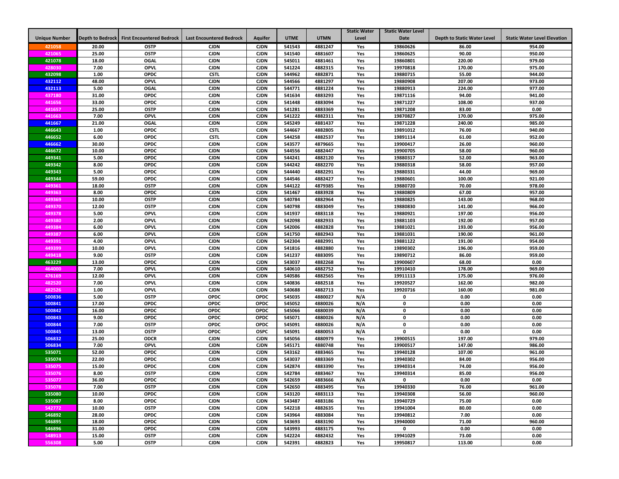|                      |                  |                                  |                                 |                            |                  |                    | <b>Static Water</b> | <b>Static Water Level</b> |                                    |                                     |
|----------------------|------------------|----------------------------------|---------------------------------|----------------------------|------------------|--------------------|---------------------|---------------------------|------------------------------------|-------------------------------------|
| <b>Unique Number</b> | Depth to Bedrock | <b>First Encountered Bedrock</b> | <b>Last Encountered Bedrock</b> | <b>Aquifer</b>             | <b>UTME</b>      | <b>UTMN</b>        | Level               | <b>Date</b>               | <b>Depth to Static Water Level</b> | <b>Static Water Level Elevation</b> |
| 421058               | 20.00            | <b>OSTP</b>                      | <b>CJDN</b>                     | <b>CJDN</b>                | 541543           | 4881247            | Yes                 | 19860626                  | 86.00                              | 954.00                              |
| 421065               | 25.00            | <b>OSTP</b>                      | <b>CJDN</b>                     | <b>CJDN</b>                | 541540           | 4881607            | Yes                 | 19860625                  | 90.00                              | 950.00                              |
| 421078               | 18.00            | <b>OGAL</b>                      | <b>CJDN</b>                     | <b>CJDN</b>                | 545011           | 4881461            | Yes                 | 19860801                  | 220.00                             | 979.00                              |
| 428030               | 7.00             | <b>OPVL</b>                      | <b>CJDN</b>                     | <b>CJDN</b>                | 541224           | 4882315            | Yes                 | 19970818                  | 170.00                             | 975.00                              |
| 432098               | 1.00             | <b>OPDC</b>                      | <b>CSTL</b>                     | <b>CJDN</b>                | 544962           | 4882871            | Yes                 | 19880715                  | 55.00                              | 944.00                              |
| 432112               | 48.00            | <b>OPVL</b>                      | <b>CJDN</b>                     | <b>CJDN</b>                | 544566           | 4881297            | Yes                 | 19880908                  | 207.00                             | 973.00                              |
| 432113               | 5.00             | <b>OGAL</b>                      | <b>CJDN</b>                     | <b>CJDN</b>                | 544771           | 4881224            | Yes                 | 19880913                  | 224.00                             | 977.00                              |
| 437180               | 31.00            | <b>OPDC</b>                      | <b>CJDN</b>                     | <b>CJDN</b>                | 541634           | 4883293            | Yes                 | 19871116                  | 94.00                              | 941.00                              |
| 441656               | 33.00            | <b>OPDC</b>                      | <b>CJDN</b>                     | <b>CJDN</b>                | 541448           | 4883094            | Yes                 | 19871227                  | 108.00                             | 937.00                              |
| 441657               | 25.00            | <b>OSTP</b>                      | <b>CJDN</b>                     | <b>CJDN</b>                | 541281           | 4883369            | Yes                 | 19871208                  | 83.00                              | 0.00                                |
| 441663               | 7.00             | <b>OPVL</b>                      | <b>CJDN</b>                     | <b>CJDN</b>                | 541222           | 4882311            | Yes                 | 19870827                  | 170.00                             | 975.00                              |
| 441667               | 21.00            | <b>OGAL</b>                      | <b>CJDN</b>                     | <b>CJDN</b>                | 545249           | 4881437            | Yes                 | 19871228                  | 240.00                             | 985.00                              |
| 446643               | 1.00             | <b>OPDC</b>                      | <b>CSTL</b>                     | <b>CJDN</b>                | 544667           | 4882805            | Yes                 | 19891012                  | 76.00                              | 940.00                              |
| 446652               | 6.00             | <b>OPDC</b>                      | <b>CSTL</b>                     | <b>CJDN</b>                | 544258           | 4882537            | Yes                 | 19891114                  | 61.00                              | 952.00                              |
| 446662               | 30.00            | <b>OPDC</b>                      | <b>CJDN</b>                     | <b>CJDN</b>                | 543577           | 4879665            | Yes                 | 19900417                  | 26.00                              | 960.00                              |
| 446672               | 10.00            | <b>OPDC</b>                      | <b>CJDN</b>                     | <b>CJDN</b>                | 544556           | 4882447            | Yes                 | 19900705                  | 58.00                              | 960.00                              |
| 449341               | 5.00             | <b>OPDC</b>                      | <b>CJDN</b>                     | <b>CJDN</b>                | 544241           | 4882120            | Yes                 | 19880317                  | 52.00                              | 963.00                              |
| 449342               | 8.00             | <b>OPDC</b>                      | <b>CJDN</b>                     | <b>CJDN</b>                | 544242           | 4882270            | Yes                 | 19880318                  | 58.00                              | 957.00                              |
| 449343               | 5.00             | <b>OPDC</b>                      | <b>CJDN</b>                     | <b>CJDN</b>                | 544440           | 4882291            | Yes                 | 19880331                  | 44.00                              | 969.00                              |
| 449344               | 59.00            | <b>OPDC</b>                      | <b>CJDN</b>                     | <b>CJDN</b>                | 544546           | 4882427            | Yes                 | 19880601                  | 100.00                             | 921.00                              |
| 449361               | 18.00            | <b>OSTP</b>                      | <b>CJDN</b>                     | <b>CJDN</b>                | 544122           | 4879385            | Yes                 | 19880720                  | 70.00                              | 978.00                              |
| 449363               | 8.00             | <b>OPDC</b>                      | <b>CJDN</b>                     | <b>CJDN</b>                | 541467           | 4883928            | Yes                 | 19880809                  | 67.00                              | 957.00                              |
| 449369               | 10.00            | <b>OSTP</b>                      | <b>CJDN</b>                     | <b>CJDN</b>                | 540784           | 4882964            | Yes                 | 19880825                  | 143.00                             | 968.00                              |
| 449370               | 12.00            | <b>OSTP</b>                      | <b>CJDN</b>                     | <b>CJDN</b>                | 540798           | 4883049            | Yes                 | 19880830                  | 141.00                             | 966.00                              |
| 449378               | 5.00             | OPVL                             | <b>CJDN</b>                     | <b>CJDN</b>                | 541937           | 4883118            | Yes                 | 19880921                  | 197.00                             | 956.00                              |
| 449380               | 2.00             | <b>OPVL</b>                      | <b>CJDN</b>                     | <b>CJDN</b>                | 542098           | 4882933            | Yes                 | 19881103                  | 192.00                             | 957.00                              |
| 449384               | 6.00             | <b>OPVL</b>                      | <b>CJDN</b>                     | <b>CJDN</b>                | 542006           | 4882828            | Yes                 | 19881021                  | 193.00                             | 956.00                              |
| 449387               | 6.00             | OPVL                             | <b>CJDN</b>                     | <b>CJDN</b>                | 541750           | 4882943            | Yes                 | 19881031                  | 190.00                             | 961.00                              |
| 449391               | 4.00             | <b>OPVL</b>                      | <b>CJDN</b>                     | <b>CJDN</b>                | 542304           | 4882991            | Yes                 | 19881122                  | 191.00                             | 954.00                              |
| 449399               | 10.00            | OPVL                             | <b>CJDN</b>                     | <b>CJDN</b>                | 541816           | 4882880            | Yes                 | 19890302                  | 196.00                             | 959.00                              |
| 449418               | 9.00             | <b>OSTP</b>                      | <b>CJDN</b>                     | <b>CJDN</b>                | 541237           | 4883095            | Yes                 | 19890712                  | 86.00                              | 959.00                              |
| 463229               | 13.00            | <b>OPDC</b>                      | <b>CJDN</b>                     | <b>CJDN</b>                | 543037           | 4882268            | Yes                 | 19900607                  | 68.00                              | 0.00                                |
| 464000               | 7.00             | <b>OPVL</b>                      | <b>CJDN</b>                     | <b>CJDN</b>                | 540610           | 4882752            | Yes                 | 19910410                  | 178.00                             | 969.00                              |
| 476169               | 12.00            | <b>OPVL</b>                      | <b>CJDN</b>                     | <b>CJDN</b>                | 540586           | 4882565            | Yes                 | 19911113                  | 175.00                             | 976.00                              |
| 482520               | 7.00             | <b>OPVL</b>                      | <b>CJDN</b>                     | <b>CJDN</b>                | 540836           | 4882518            | Yes                 | 19920527                  | 162.00                             | 982.00                              |
| 482526               | 1.00             | <b>OPVL</b>                      | <b>CJDN</b>                     | <b>CJDN</b>                | 540688           | 4882713            | Yes                 | 19920716                  | 160.00                             | 981.00                              |
| 500836               | 5.00             | <b>OSTP</b>                      | <b>OPDC</b>                     | <b>OPDC</b>                | 545035           | 4880027            | N/A                 | 0                         | 0.00                               | 0.00                                |
| 500841               | 17.00            | <b>OPDC</b>                      | <b>OPDC</b>                     | <b>OPDC</b>                | 545052           | 4880026            | N/A                 | 0                         | 0.00                               | 0.00                                |
| 500842               | 16.00            | <b>OPDC</b>                      | <b>OPDC</b>                     | <b>OPDC</b>                | 545066           | 4880039            | N/A                 | 0                         | 0.00                               | 0.00                                |
| 500843               | 9.00             | <b>OPDC</b>                      | <b>OPDC</b>                     | <b>OPDC</b>                | 545071           | 4880026            | N/A                 | 0                         | 0.00                               | 0.00                                |
| 500844               | 7.00             | <b>OSTP</b>                      | <b>OPDC</b>                     | <b>OPDC</b>                | 545091           | 4880026            | N/A                 | 0                         | 0.00                               | 0.00                                |
| 500845<br>506832     | 13.00<br>25.00   | <b>OSTP</b><br><b>ODCR</b>       | <b>OPDC</b><br><b>CJDN</b>      | <b>OSPC</b><br><b>CJDN</b> | 545091<br>545056 | 4880053<br>4880979 | N/A<br>Yes          | 0<br>19900515             | 0.00<br>197.00                     | 0.00<br>979.00                      |
| 506834               | 7.00             | <b>OPVL</b>                      | <b>CJDN</b>                     | <b>CJDN</b>                | 545171           | 4880748            |                     | 19900517                  |                                    | 986.00                              |
| 535071               | 52.00            | <b>OPDC</b>                      | <b>CJDN</b>                     | <b>CJDN</b>                | 543162           | 4883465            | Yes<br>Yes          | 19940128                  | 147.00<br>107.00                   | 961.00                              |
| 535074               | 22.00            | <b>OPDC</b>                      | <b>CJDN</b>                     | <b>CJDN</b>                | 543037           | 4883369            | Yes                 | 19940302                  | 84.00                              | 956.00                              |
| 535075               | 15.00            | <b>OPDC</b>                      | <b>CJDN</b>                     | <b>CJDN</b>                | 542874           | 4883390            | Yes                 | 19940314                  | 74.00                              | 956.00                              |
| 535076               | 8.00             | <b>OSTP</b>                      | <b>CJDN</b>                     | <b>CJDN</b>                | 542784           | 4883467            | Yes                 | 19940314                  | 85.00                              | 956.00                              |
| 535077               | 36.00            | OPDC                             | <b>CJDN</b>                     | <b>CJDN</b>                | 542659           | 4883666            | N/A                 | 0                         | 0.00                               | 0.00                                |
| 535078               | 7.00             | <b>OSTP</b>                      | <b>CJDN</b>                     | <b>CJDN</b>                | 542650           | 4883495            | Yes                 | 19940330                  | 76.00                              | 961.00                              |
| 535080               | 10.00            | <b>OPDC</b>                      | <b>CJDN</b>                     | <b>CJDN</b>                | 543120           | 4883113            | Yes                 | 19940308                  | 56.00                              | 960.00                              |
| 535087               | 8.00             | <b>OPDC</b>                      | <b>CJDN</b>                     | <b>CJDN</b>                | 543487           | 4883186            | Yes                 | 19940729                  | 75.00                              | 0.00                                |
| 542772               | 10.00            | <b>OSTP</b>                      | <b>CJDN</b>                     | <b>CJDN</b>                | 542218           | 4882635            | Yes                 | 19941004                  | 80.00                              | 0.00                                |
| 546892               | 28.00            | <b>OPDC</b>                      | <b>CJDN</b>                     | <b>CJDN</b>                | 543964           | 4883084            | Yes                 | 19940812                  | 7.00                               | 0.00                                |
| 546895               | 18.00            | <b>OPDC</b>                      | <b>CJDN</b>                     | <b>CJDN</b>                | 543693           | 4883190            | Yes                 | 19940000                  | 71.00                              | 960.00                              |
| 546896               | 31.00            | <b>OPDC</b>                      | <b>CJDN</b>                     | <b>CJDN</b>                | 543993           | 4883175            | Yes                 | 0                         | 0.00                               | 0.00                                |
| 548913               | 15.00            | <b>OSTP</b>                      | <b>CJDN</b>                     | <b>CJDN</b>                | 542224           | 4882432            | Yes                 | 19941029                  | 73.00                              | 0.00                                |
| 556308               | 5.00             | <b>OSTP</b>                      | <b>CJDN</b>                     | <b>CJDN</b>                | 542391           | 4882823            | Yes                 | 19950817                  | 113.00                             | 0.00                                |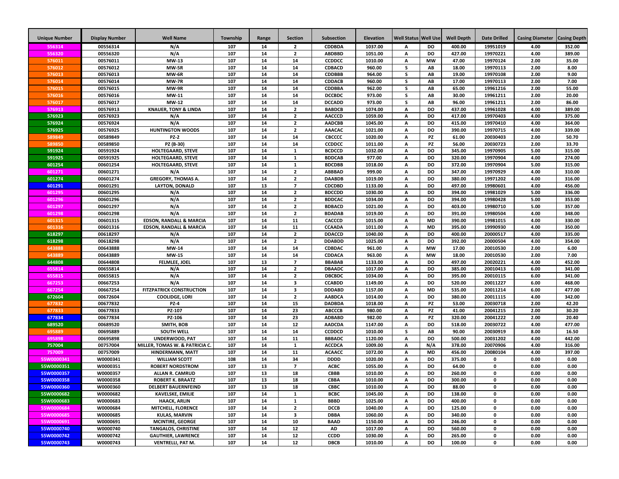| <b>Unique Number</b> | <b>Display Number</b> | <b>Well Name</b>                                         | Township   | Range    | <b>Section</b>          | <b>Subsection</b>              | <b>Elevation</b>   | Well Status   Well Use |                 | <b>Well Depth</b> | <b>Date Drilled</b>  | <b>Casing Diameter</b> | <b>Casing Depth</b> |
|----------------------|-----------------------|----------------------------------------------------------|------------|----------|-------------------------|--------------------------------|--------------------|------------------------|-----------------|-------------------|----------------------|------------------------|---------------------|
| 556314               | 00556314              | N/A                                                      | 107        | 14       | $\overline{2}$          | <b>CDDBDA</b>                  | 1037.00            | А                      | DO              | 400.00            | 19951019             | 4.00                   | 352.00              |
| 556320               | 00556320              | N/A                                                      | 107        | 14       | $\overline{2}$          | <b>ABDBBD</b>                  | 1051.00            | A                      | DO              | 427.00            | 19970221             | 4.00                   | 389.00              |
| 576011               | 00576011              | MW-13                                                    | 107        | 14       | 14                      | <b>CCDDCC</b>                  | 1010.00            | A                      | <b>MW</b>       | 47.00             | 19970124             | 2.00                   | 35.00               |
| 576012               | 00576012              | MW-5R                                                    | 107        | 14       | 14                      | CDBACD                         | 960.00             | s                      | AB              | 18.00             | 19970113             | 2.00                   | 8.00                |
| 576013               | 00576013              | MW-6R                                                    | 107        | 14       | 14                      | <b>CDDBBB</b>                  | 964.00             | s                      | AB              | 19.00             | 19970108             | 2.00                   | 9.00                |
| 576014               | 00576014              | MW-7R                                                    | 107        | 14       | 14                      | <b>CDDACB</b>                  | 960.00             | s                      | AB              | 17.00             | 19970113             | 2.00                   | 7.00                |
| 576015               | 00576015              | MW-9R                                                    | 107        | 14       | 14                      | CDDBBA                         | 962.00             | s                      | AB              | 65.00             | 19961216             | 2.00                   | 55.00               |
| 576016               | 00576016              | MW-11                                                    | 107        | 14       | 14                      | <b>DCCBDC</b>                  | 973.00             | s                      | AB              | 30.00             | 19961211             | 2.00                   | 20.00               |
| 576017               | 00576017              | <b>MW-12</b>                                             | 107        | 14       | 14                      | <b>DCCADD</b>                  | 973.00             | s                      | AB              | 96.00             | 19961211             | 2.00                   | 86.00               |
| 576913               | 00576913              | <b>KNAUER, TONY &amp; LINDA</b>                          | 107        | 14       | $\overline{2}$          | <b>BABDCB</b>                  | 1074.00            | А                      | <b>DO</b>       | 437.00            | 19961028             | 4.00                   | 389.00              |
| 576923               | 00576923              | N/A                                                      | 107        | 14       | $\overline{2}$          | <b>AACCCD</b>                  | 1059.00            | А                      | DO              | 417.00            | 19970403             | 4.00                   | 375.00              |
| 576924               | 00576924              | N/A                                                      | 107        | 14       | $\overline{2}$          | <b>AADCBB</b>                  | 1045.00            | А                      | DO              | 415.00            | 19970410             | 4.00                   | 364.00              |
| 576925               | 00576925              | <b>HUNTINGTON WOODS</b>                                  | 107        | 14       | $\overline{2}$          | AAACAC                         | 1021.00            | А                      | DO              | 390.00            | 19970715             | 4.00                   | 339.00              |
| 589849               | 00589849              | <b>PZ-2</b>                                              | 107        | 14       | 14                      | CBCCCC                         | 1020.00            | A                      | PZ              | 61.00             | 20030403             | 2.00                   | 50.70               |
| 589850               | 00589850              | PZ (B-30)                                                | 107        | 14       | 14                      | <b>CCDDCC</b>                  | 1011.00            | A                      | PZ              | 56.00             | 20030723             | 2.00                   | 33.70               |
| 591924               | 00591924              | HOLTEGAARD, STEVE                                        | 107        | 14       | $\mathbf{1}$            | <b>BCDCCD</b>                  | 1032.00            | A                      | DO              | 345.00            | 19970905             | 5.00                   | 315.00              |
| 591925               | 00591925              | <b>HOLTEGAARD, STEVE</b>                                 | 107        | 14       | 1                       | <b>BDDCAB</b>                  | 977.00             | A                      | DO              | 320.00            | 19970904             | 4.00                   | 274.00              |
| 601254               | 00601254              | <b>HOLTEGAARD, STEVE</b>                                 | 107        | 14       | $\mathbf{1}$            | <b>BDCDBB</b>                  | 1018.00            | A                      | <b>DO</b>       | 372.00            | 19970904             | 5.00                   | 315.00              |
| 601271               | 00601271              | N/A                                                      | 107        | 14       | $\overline{2}$          | ABBBAD                         | 999.00             | A                      | <b>DO</b>       | 347.00            | 19970929             | 4.00                   | 310.00              |
| 601274               | 00601274              | <b>GREGORY, THOMAS A.</b>                                | 107        | 14       | $\overline{2}$          | <b>DAABDB</b>                  | 1019.00            | A                      | <b>DO</b>       | 380.00            | 19971202             | 4.00                   | 316.00              |
| 601291               | 00601291              | <b>LAYTON, DONALD</b>                                    | 107        | 13       | $\overline{7}$          | CDCDBD                         | 1133.00            | A                      | DO              | 497.00            | 19980601             | 4.00                   | 456.00              |
| 601295               | 00601295              | N/A                                                      | 107        | 14       | $\overline{2}$          | <b>BDCCDD</b>                  | 1030.00            | A                      | DO              | 394.00            | 19981029             | 5.00                   | 336.00              |
| 601296               | 00601296              | N/A                                                      | 107        | 14       | $\overline{2}$          | <b>BDDCAC</b>                  | 1034.00            | A                      | DO              | 394.00            | 19980428             | 5.00                   | 353.00              |
| 601297               | 00601297              | N/A                                                      | 107        | 14       | $\overline{2}$          | <b>BDBACD</b>                  | 1021.00            | Α                      | DO              | 403.00            | 19980710             | 5.00                   | 357.00              |
| 601298               | 00601298              | N/A                                                      | 107        | 14       | $\overline{2}$          | <b>BDADAB</b>                  | 1019.00            | Α                      | DO              | 391.00            | 19980504             | 4.00                   | 348.00              |
| 601315               | 00601315              | <b>EDSON, RANDALL &amp; MARCIA</b>                       | 107        | 14       | 11                      | CACCCD                         | 1015.00            | A                      | <b>MD</b>       | 390.00            | 19981015             | 4.00                   | 330.00              |
| 601316               | 00601316              | <b>EDSON, RANDALL &amp; MARCIA</b>                       | 107        | 14       | 11                      | <b>CCAADA</b>                  | 1011.00            | Α                      | <b>MD</b>       | 395.00            | 19990930             | 4.00                   | 350.00              |
| 618297               | 00618297              | N/A                                                      | 107        | 14       | $\overline{2}$          | <b>DDACCD</b>                  | 1040.00            | A                      | <b>DO</b>       | 400.00            | 20000517             | 4.00                   | 335.00              |
| 618298               | 00618298              | N/A                                                      | 107        | 14       | $\overline{2}$          | <b>DDABDD</b>                  | 1025.00            | А                      | <b>DO</b>       | 392.00            | 20000504             | 4.00                   | 354.00              |
| 643888               | 00643888              | MW-14                                                    | 107        | 14       | 14                      | CDBDAC                         | 961.00             | Α                      | <b>MW</b>       | 17.00             | 20010530             | 2.00                   | 6.00                |
| 643889               | 00643889              | MW-15                                                    | 107        | 14       | 14                      | CDDACA                         | 963.00             | A                      | <b>MW</b>       | 18.00             | 20010530             | 2.00                   | 7.00                |
| 644808               | 00644808              | FELMLEE, JOEL                                            | 107        | 13       | $\overline{\mathbf{z}}$ | <b>BBABAB</b>                  | 1133.00            | Α                      | DO              | 497.00            | 20020221             | 4.00                   | 452.00              |
| 655814               | 00655814              | N/A                                                      | 107        | 14       | $\overline{2}$          | <b>DBAADC</b>                  | 1017.00            | A                      | DO              | 385.00            | 20010413             | 6.00                   | 341.00              |
| 655815               | 00655815              | N/A                                                      | 107        | 14       | $\overline{2}$          | <b>DBCBDC</b>                  | 1034.00            | А                      | DO              | 395.00            | 20010115             | 6.00                   | 341.00              |
| 667253               | 00667253              | N/A                                                      | 107        | 14       | 3                       | <b>CCABDD</b>                  | 1149.00            | A                      | DO              | 520.00            | 20011227             | 6.00                   | 468.00              |
| 667254<br>672604     | 00667254<br>00672604  | <b>FITZPATRICK CONSTRUCTION</b><br><b>COOLIDGE, LORI</b> | 107<br>107 | 14<br>14 | 3<br>$\overline{2}$     | <b>DDDABD</b><br><b>AABDCA</b> | 1157.00<br>1014.00 | А<br>А                 | <b>MD</b><br>DO | 535.00<br>380.00  | 20011214<br>20011115 | 6.00<br>4.00           | 477.00<br>342.00    |
|                      | 00677832              | <b>PZ-4</b>                                              | 107        | 14       | 15                      | <b>DADBDA</b>                  | 1018.00            | А                      | PZ              | 53.00             | 20030718             | 2.00                   | 42.20               |
| 677832<br>677833     | 00677833              | PZ-107                                                   | 107        | 14       | 23                      | <b>ABCCCB</b>                  | 980.00             | A                      | PZ              | 41.00             | 20041215             | 2.00                   | 30.20               |
| 677834               | 00677834              | PZ-106                                                   | 107        | 14       | 23                      | <b>ADBABD</b>                  | 982.00             | A                      | PZ              | 320.00            | 20041222             | 2.00                   | 20.40               |
| 689520               | 00689520              | SMITH, BOB                                               | 107        | 14       | 12                      | <b>AADCDA</b>                  | 1147.00            | A                      | DO              | 518.00            | 20030722             | 4.00                   | 477.00              |
| 695889               | 00695889              | <b>SOUTH WELL</b>                                        | 107        | 14       | 14                      | CCDDCD                         | 1010.00            | s                      | AB              | 90.00             | 20030919             | 8.00                   | 16.50               |
| 695898               | 00695898              | UNDERWOOD, PAT                                           | 107        | 14       | 11                      | <b>BBBADC</b>                  | 1120.00            | A                      | <b>DO</b>       | 500.00            | 20031202             | 4.00                   | 442.00              |
| 757004               | 00757004              | MILLER, TOMAS W. & PATRICIA C.                           | 107        | 14       | $\mathbf{1}$            | <b>ACCDCA</b>                  | 1009.00            | A                      | N/A             | 378.00            | 20070906             | 4.00                   | 316.00              |
| 757009               | 00757009              | <b>HINDERMANN, MATT</b>                                  | 107        | 14       | 11                      | <b>ACAACC</b>                  | 1072.00            | A                      | <b>MD</b>       | 456.00            | 20080104             | 4.00                   | 397.00              |
| 55W0000341           | W0000341              | <b>WILLIAM SCOTT</b>                                     | 108        | 14       | 34                      | <b>DDDD</b>                    | 1020.00            | А                      | DO              | 375.00            | 0                    | 0.00                   | 0.00                |
| 55W0000351           | W0000351              | <b>ROBERT NORDSTROM</b>                                  | 107        | 13       | $\overline{7}$          | <b>ACBC</b>                    | 1055.00            | A                      | <b>DO</b>       | 64.00             | $\mathbf 0$          | 0.00                   | 0.00                |
| 55W0000357           | W0000357              | ALLAN R. CAMRUD                                          | 107        | 13       | 18                      | CBBB                           | 1010.00            | A                      | <b>DO</b>       | 260.00            | 0                    | 0.00                   | 0.00                |
| 55W0000358           | W0000358              | <b>ROBERT K. BRAATZ</b>                                  | 107        | 13       | 18                      | <b>CBBA</b>                    | 1010.00            | Α                      | DO              | 300.00            | 0                    | 0.00                   | 0.00                |
| 55W0000360           | W0000360              | <b>DELBERT BAUERNFEIND</b>                               | 107        | 13       | 18                      | <b>CBBC</b>                    | 1010.00            | А                      | DO              | 88.00             | 0                    | 0.00                   | 0.00                |
| 55W0000682           | W0000682              | <b>KAVELSKE, EMILIE</b>                                  | 107        | 14       | 1                       | <b>BCBC</b>                    | 1045.00            | А                      | DO              | 138.00            | 0                    | 0.00                   | 0.00                |
| 55W0000683           | W0000683              | <b>HAACK, ARLIN</b>                                      | 107        | 14       | $\mathbf{1}$            | <b>BBBD</b>                    | 1025.00            | А                      | DO              | 400.00            | 0                    | 0.00                   | 0.00                |
| 55W0000684           | W0000684              | MITCHELL, FLORENCE                                       | 107        | 14       | $\overline{2}$          | <b>DCCB</b>                    | 1040.00            | A                      | DO              | 125.00            | $\mathbf 0$          | 0.00                   | 0.00                |
| 55W0000685           | W0000685              | <b>KULAS, MARVIN</b>                                     | 107        | 14       | 3                       | <b>DBBA</b>                    | 1060.00            | А                      | DO              | 340.00            | $\mathbf 0$          | 0.00                   | 0.00                |
| 55W0000691           | W0000691              | <b>MCINTIRE, GEORGE</b>                                  | 107        | 14       | 10                      | <b>BAAD</b>                    | 1150.00            | А                      | DO              | 246.00            | $\mathbf 0$          | 0.00                   | 0.00                |
| 55W0000740           | W0000740              | <b>TANGALOS, CHRISTINE</b>                               | 107        | 14       | $12\,$                  | AD                             | 1017.00            | A                      | DO              | 560.00            | 0                    | 0.00                   | 0.00                |
| 55W0000742           | W0000742              | <b>GAUTHIER, LAWRENCE</b>                                | 107        | 14       | 12                      | <b>CCDD</b>                    | 1030.00            | А                      | DO              | 265.00            | $\mathbf 0$          | 0.00                   | 0.00                |
| 55W0000743           | W0000743              | VENTRELLI, PAT M.                                        | 107        | 14       | 12                      | <b>DBCB</b>                    | 1010.00            | А                      | DO              | 100.00            | $\mathbf 0$          | 0.00                   | 0.00                |
|                      |                       |                                                          |            |          |                         |                                |                    |                        |                 |                   |                      |                        |                     |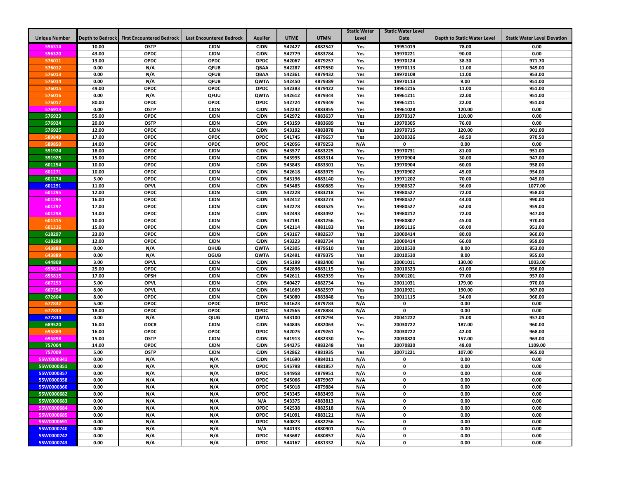|                      |                         |                                  |                                 |                            |                  |                    | <b>Static Water</b> | <b>Static Water Level</b> |                                    |                                     |
|----------------------|-------------------------|----------------------------------|---------------------------------|----------------------------|------------------|--------------------|---------------------|---------------------------|------------------------------------|-------------------------------------|
| <b>Unique Number</b> | <b>Depth to Bedrock</b> | <b>First Encountered Bedrock</b> | <b>Last Encountered Bedrock</b> | <b>Aquifer</b>             | <b>UTME</b>      | <b>UTMN</b>        | Level               | <b>Date</b>               | <b>Depth to Static Water Level</b> | <b>Static Water Level Elevation</b> |
| 556314               | 10.00                   | <b>OSTP</b>                      | <b>CJDN</b>                     | <b>CJDN</b>                | 542427           | 4882547            | Yes                 | 19951019                  | 78.00                              | 0.00                                |
| 556320               | 43.00                   | <b>OPDC</b>                      | <b>CJDN</b>                     | <b>CJDN</b>                | 542779           | 4883784            | Yes                 | 19970221                  | 90.00                              | 0.00                                |
| 576011               | 13.00                   | <b>OPDC</b>                      | OPDC                            | OPDC                       | 542067           | 4879257            | Yes                 | 19970124                  | 38.30                              | 971.70                              |
| 576012               | 0.00                    | N/A                              | QFUB                            | QBAA                       | 542287           | 4879550            | Yes                 | 19970113                  | 11.00                              | 949.00                              |
| 576013               | 0.00                    | N/A                              | <b>QFUB</b>                     | QBAA                       | 542361           | 4879432            | Yes                 | 19970108                  | 11.00                              | 953.00                              |
| 576014               | 0.00                    | N/A                              | QFUB                            | <b>QWTA</b>                | 542450           | 4879389            | Yes                 | 19970113                  | 9.00                               | 951.00                              |
| 576015               | 49.00                   | OPDC                             | <b>OPDC</b>                     | OPDC                       | 542383           | 4879422            | Yes                 | 19961216                  | 11.00                              | 951.00                              |
| 576016               | 0.00                    | N/A                              | QFUU                            | <b>QWTA</b>                | 542612           | 4879344            | Yes                 | 19961211                  | 22.00                              | 951.00                              |
| 576017               | 80.00                   | <b>OPDC</b>                      | <b>OPDC</b>                     | <b>OPDC</b>                | 542724           | 4879349            | Yes                 | 19961211                  | 22.00                              | 951.00                              |
| 576913               | 0.00                    | <b>OSTP</b>                      | <b>CJDN</b>                     | <b>CJDN</b>                | 542242           | 4883855            | Yes                 | 19961028                  | 120.00                             | 0.00                                |
| 576923               | 55.00                   | <b>OPDC</b>                      | <b>CJDN</b>                     | <b>CJDN</b>                | 542972           | 4883637            | Yes                 | 19970317                  | 110.00                             | 0.00                                |
| 576924               | 20.00                   | <b>OSTP</b>                      | <b>CJDN</b>                     | <b>CJDN</b>                | 543159           | 4883689            | Yes                 | 19970305                  | 76.00                              | 0.00                                |
| 576925               | 12.00                   | <b>OPDC</b>                      | <b>CJDN</b>                     | <b>CJDN</b>                | 543192           | 4883878            | Yes                 | 19970715                  | 120.00                             | 901.00                              |
| 589849               | 17.00                   | <b>OPDC</b>                      | <b>OPDC</b>                     | <b>OPDC</b>                | 541745           | 4879657            | Yes                 | 20030326                  | 49.50                              | 970.50                              |
| 589850               | 14.00                   | <b>OPDC</b>                      | <b>OPDC</b>                     | <b>OPDC</b>                | 542056           | 4879253            | N/A                 | 0                         | 0.00                               | 0.00                                |
| 591924               | 18.00                   | <b>OPDC</b>                      | <b>CJDN</b>                     | <b>CJDN</b>                | 543577           | 4883225            | Yes                 | 19970731                  | 81.00                              | 951.00                              |
| 591925               | 15.00                   | <b>OPDC</b>                      | <b>CJDN</b>                     | <b>CJDN</b>                | 543995           | 4883314            | Yes                 | 19970904                  | 30.00                              | 947.00                              |
| 601254               | 10.00                   | <b>OPDC</b>                      | <b>CJDN</b>                     | <b>CJDN</b>                | 543843           | 4883301            | Yes                 | 19970904                  | 60.00                              | 958.00                              |
| 601271               | 10.00                   | <b>OPDC</b>                      | <b>CJDN</b>                     | <b>CJDN</b>                | 542618           | 4883979            | Yes                 | 19970902                  | 45.00                              | 954.00                              |
| 601274               | 5.00                    | <b>OPDC</b>                      | <b>CJDN</b>                     | <b>CJDN</b>                | 543196           | 4883140            | Yes                 | 19971202                  | 70.00                              | 949.00                              |
| 601291               | 11.00                   | <b>OPVL</b>                      | <b>CJDN</b>                     | <b>CJDN</b>                | 545485           | 4880885            | Yes                 | 19980527                  | 56.00                              | 1077.00                             |
| 601295               | 12.00                   | <b>OPDC</b>                      | <b>CJDN</b>                     | <b>CJDN</b>                | 542228           | 4883218            | Yes                 | 19980527                  | 72.00                              | 958.00                              |
| 601296               | 16.00                   | <b>OPDC</b>                      | <b>CJDN</b>                     | <b>CJDN</b>                | 542412           | 4883273            | Yes                 | 19980527                  | 44.00                              | 990.00                              |
| 601297               | 17.00                   | <b>OPDC</b>                      | <b>CJDN</b>                     | <b>CJDN</b>                | 542278           | 4883525            | Yes                 | 19980527                  | 62.00                              | 959.00                              |
| 601298               | 13.00                   | <b>OPDC</b>                      | <b>CJDN</b>                     | <b>CJDN</b>                | 542493           | 4883492            | Yes                 | 19980212                  | 72.00                              | 947.00                              |
| 601315               | 10.00                   | <b>OPDC</b>                      | <b>CJDN</b>                     | <b>CJDN</b>                | 542181           | 4881256            | Yes                 | 19980807                  | 45.00                              | 970.00                              |
| 601316               | 15.00                   | <b>OPDC</b>                      | <b>CJDN</b>                     | <b>CJDN</b>                | 542114           | 4881183            | Yes                 | 19991116                  | 60.00                              | 951.00                              |
| 618297               | 23.00                   | <b>OPDC</b>                      | <b>CJDN</b>                     | <b>CJDN</b>                | 543167           | 4882637            | Yes                 | 20000414                  | 80.00                              | 960.00                              |
| 618298               | 12.00                   | <b>OPDC</b>                      | <b>CJDN</b>                     | <b>CJDN</b>                | 543223           | 4882734            | Yes                 | 20000414                  | 66.00                              | 959.00                              |
| 643888               | 0.00                    | N/A                              | QHUB                            | QWTA                       | 542305           | 4879510            | Yes                 | 20010530                  | 8.00                               | 953.00                              |
| 643889               | 0.00                    | N/A                              | QGUB                            | <b>QWTA</b>                | 542491           | 4879375            | Yes                 | 20010530                  | 8.00                               | 955.00                              |
| 644808               | 3.00                    | <b>OPVL</b>                      | <b>CJDN</b>                     | <b>CJDN</b>                | 545199           | 4882400            | Yes                 | 20001011                  | 130.00                             | 1003.00                             |
| 655814               | 25.00                   | <b>OPDC</b>                      | <b>CJDN</b>                     | <b>CJDN</b>                | 542896           | 4883115            | Yes                 | 20010323                  | 61.00                              | 956.00                              |
| 655815               | 17.00<br>5.00           | <b>OPSH</b><br><b>OPVL</b>       | <b>CJDN</b><br><b>CJDN</b>      | <b>CJDN</b><br><b>CJDN</b> | 542611<br>540427 | 4882939<br>4882734 | Yes                 | 20001201                  | 77.00<br>179.00                    | 957.00                              |
| 667253<br>667254     | 8.00                    | <b>OPVL</b>                      | <b>CJDN</b>                     | <b>CJDN</b>                | 541669           | 4882597            | Yes<br>Yes          | 20011031<br>20010921      | 190.00                             | 970.00                              |
| 672604               | 8.00                    | <b>OPDC</b>                      | <b>CJDN</b>                     | <b>CJDN</b>                | 543080           | 4883848            | Yes                 | 20011115                  | 54.00                              | 967.00<br>960.00                    |
| 677832               | 5.00                    | <b>OPDC</b>                      | <b>OPDC</b>                     | <b>OPDC</b>                | 541623           | 4879783            | N/A                 | 0                         | 0.00                               | 0.00                                |
| 677833               | 18.00                   | <b>OPDC</b>                      | <b>OPDC</b>                     | <b>OPDC</b>                | 542565           | 4878884            | N/A                 | 0                         | 0.00                               | 0.00                                |
| 677834               | 0.00                    | N/A                              | QIUG                            | <b>QWTA</b>                | 543100           | 4878794            | Yes                 | 20041222                  | 25.00                              | 957.00                              |
| 689520               | 16.00                   | <b>ODCR</b>                      | <b>CJDN</b>                     | <b>CJDN</b>                | 544845           | 4882063            | Yes                 | 20030722                  | 187.00                             | 960.00                              |
| 695889               | 16.00                   | <b>OPDC</b>                      | <b>OPDC</b>                     | <b>OPDC</b>                | 542075           | 4879261            | Yes                 | 20030722                  | 42.00                              | 968.00                              |
| 695898               | 15.00                   | <b>OSTP</b>                      | <b>CJDN</b>                     | <b>CJDN</b>                | 541913           | 4882330            | Yes                 | 20030820                  | 157.00                             | 963.00                              |
| 757004               | 14.00                   | <b>OPDC</b>                      | <b>CJDN</b>                     | <b>CJDN</b>                | 544275           | 4883248            | Yes                 | 20070830                  | 48.00                              | 1109.00                             |
| 757009               | 5.00                    | <b>OSTP</b>                      | <b>CJDN</b>                     | <b>CJDN</b>                | 542862           | 4881935            | Yes                 | 20071221                  | 107.00                             | 965.00                              |
| 55W0000341           | 0.00                    | N/A                              | N/A                             | <b>CJDN</b>                | 541690           | 4884011            | N/A                 | 0                         | 0.00                               | 0.00                                |
| 55W0000351           | 0.00                    | N/A                              | N/A                             | <b>OPDC</b>                | 545798           | 4881857            | N/A                 | 0                         | 0.00                               | 0.00                                |
| 55W0000357           | 0.00                    | N/A                              | N/A                             | <b>OPDC</b>                | 544958           | 4879951            | N/A                 | 0                         | 0.00                               | 0.00                                |
| 55W0000358           | 0.00                    | N/A                              | N/A                             | <b>OPDC</b>                | 545066           | 4879967            | N/A                 | 0                         | 0.00                               | 0.00                                |
| 55W0000360           | 0.00                    | N/A                              | N/A                             | <b>OPDC</b>                | 545018           | 4879884            | N/A                 | $\mathbf 0$               | 0.00                               | 0.00                                |
| 55W0000682           | 0.00                    | N/A                              | N/A                             | <b>OPDC</b>                | 543345           | 4883493            | N/A                 | 0                         | 0.00                               | 0.00                                |
| 55W0000683           | 0.00                    | N/A                              | N/A                             | N/A                        | 543375           | 4883813            | N/A                 | 0                         | 0.00                               | 0.00                                |
| 55W0000684           | 0.00                    | N/A                              | N/A                             | <b>OPDC</b>                | 542538           | 4882518            | N/A                 | 0                         | 0.00                               | 0.00                                |
| 55W0000685           | 0.00                    | N/A                              | N/A                             | <b>OPDC</b>                | 541091           | 4883121            | N/A                 | 0                         | 0.00                               | 0.00                                |
| 55W0000691           | 0.00                    | N/A                              | N/A                             | <b>OPDC</b>                | 540873           | 4882256            | Yes                 | 0                         | 0.00                               | 0.00                                |
| 55W0000740           | 0.00                    | N/A                              | N/A                             | N/A                        | 544133           | 4880901            | N/A                 | $\mathbf 0$               | 0.00                               | 0.00                                |
| 55W0000742           | 0.00                    | N/A                              | N/A                             | <b>OPDC</b>                | 543687           | 4880857            | N/A                 | 0                         | 0.00                               | 0.00                                |
| 55W0000743           | 0.00                    | N/A                              | N/A                             | <b>OPDC</b>                | 544167           | 4881332            | N/A                 | 0                         | 0.00                               | 0.00                                |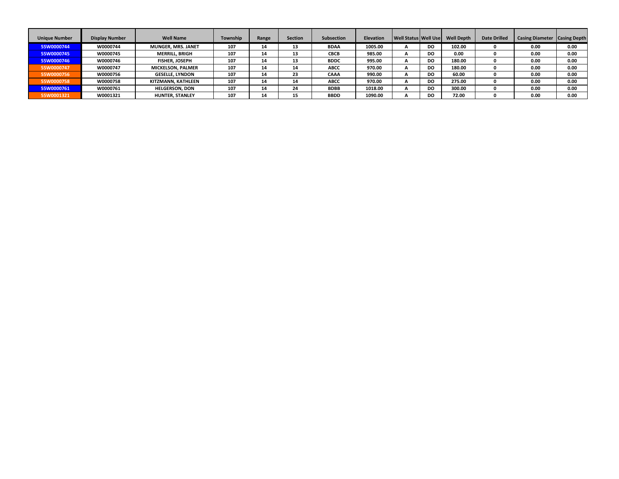| <b>Unique Number</b> | <b>Display Number</b> | <b>Well Name</b>          | Township | Range | <b>Section</b> | Subsection  | <b>Elevation</b> | <b>Well Status Well Use</b> |           | <b>Well Depth</b> | <b>Date Drilled</b> | <b>Casing Diameter</b> | <b>Casing Depth</b> |
|----------------------|-----------------------|---------------------------|----------|-------|----------------|-------------|------------------|-----------------------------|-----------|-------------------|---------------------|------------------------|---------------------|
| 55W0000744           | W0000744              | <b>MUNGER, MRS. JANET</b> | 107      | 14    | 13             | <b>BDAA</b> | 1005.00          | A                           | DO.       | 102.00            |                     | 0.00                   | 0.00                |
| 55W0000745           | W0000745              | <b>MERRILL, BRIGH</b>     | 107      | 14    | 13             | <b>CBCB</b> | 985.00           | A                           | DO.       | 0.00              |                     | 0.00                   | 0.00                |
| 55W0000746           | W0000746              | <b>FISHER, JOSEPH</b>     | 107      | 14    | 13             | <b>BDDC</b> | 995.00           | A                           | DO.       | 180.00            |                     | 0.00                   | 0.00                |
| 55W0000747           | W0000747              | <b>MICKELSON, PALMER</b>  | 107      | 14    | 14             | <b>ABCC</b> | 970.00           | A                           | DO.       | 180.00            |                     | 0.00                   | 0.00                |
| 55W0000756           | W0000756              | <b>GESELLE, LYNDON</b>    | 107      | 14    | 23             | <b>CAAA</b> | 990.00           | A                           | DO.       | 60.00             |                     | 0.00                   | 0.00                |
| 55W0000758           | W0000758              | KITZMANN, KATHLEEN        | 107      | 14    | 14             | <b>ABCC</b> | 970.00           | A                           | <b>DO</b> | 275.00            |                     | 0.00                   | 0.00                |
| 55W0000761           | W0000761              | <b>HELGERSON, DON</b>     | 107      | 14    | 24             | <b>BDBB</b> | 1018.00          | А                           | DO.       | 300.00            |                     | 0.00                   | 0.00                |
| 55W0001321           | W0001321              | <b>HUNTER, STANLEY</b>    | 107      | 14    | 15             | <b>BBDD</b> | 1090.00          | A                           | DO.       | 72.00             |                     | 0.00                   | 0.00                |